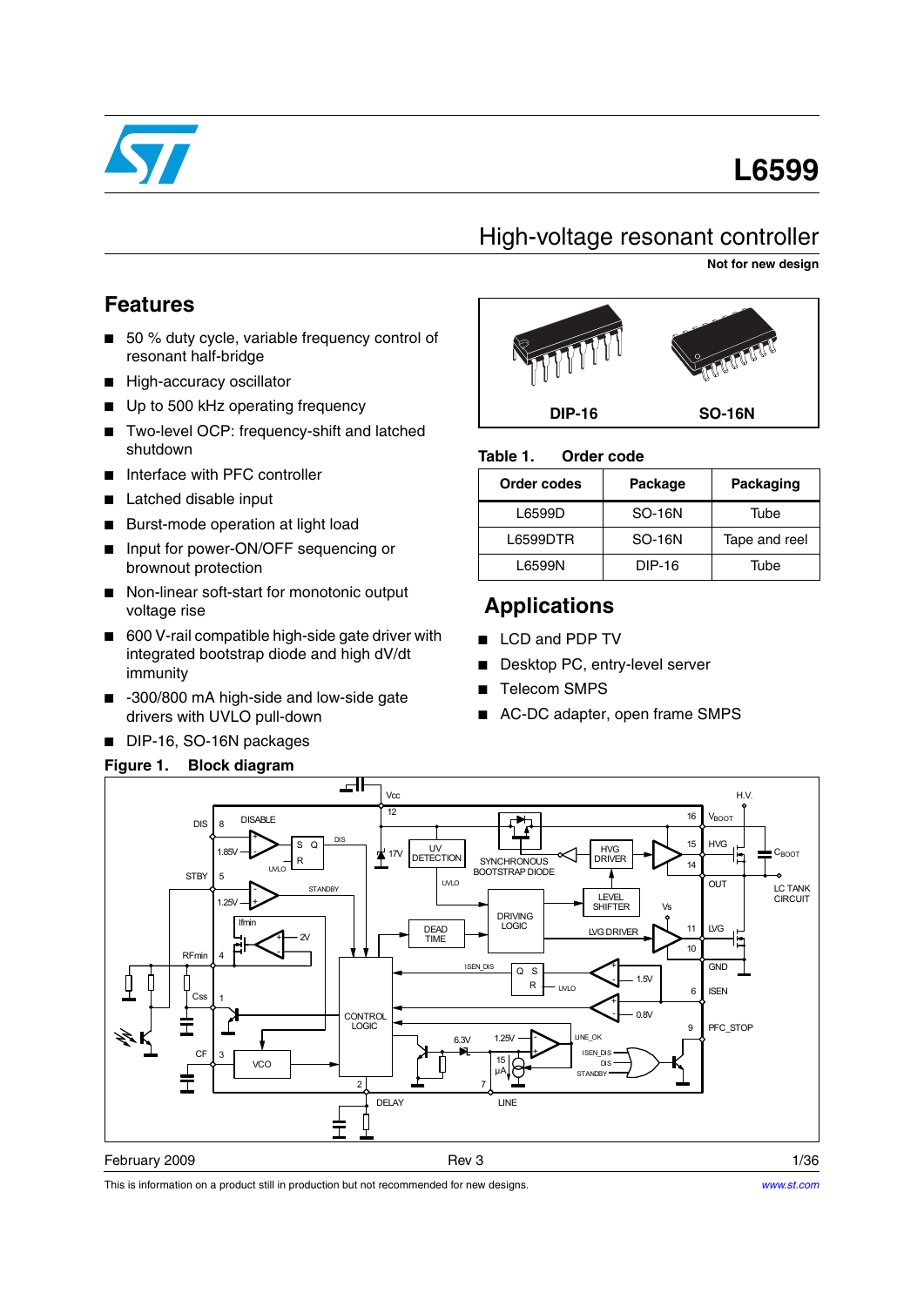

# **L6599**

# High-voltage resonant controller

**Not for new design**

### **Features**

- 50 % duty cycle, variable frequency control of resonant half-bridge
- High-accuracy oscillator
- Up to 500 kHz operating frequency
- Two-level OCP: frequency-shift and latched shutdown
- Interface with PFC controller
- Latched disable input
- Burst-mode operation at light load
- Input for power-ON/OFF sequencing or brownout protection
- Non-linear soft-start for monotonic output voltage rise
- 600 V-rail compatible high-side gate driver with integrated bootstrap diode and high dV/dt immunity
- -300/800 mA high-side and low-side gate drivers with UVLO pull-down
- DIP-16, SO-16N packages

### **Figure 1. Block diagram**



#### Table 1. **Order code**

| <b>Order codes</b> | Package       | Packaging     |
|--------------------|---------------|---------------|
| L6599D             | <b>SO-16N</b> | Tube          |
| L6599DTR           | <b>SO-16N</b> | Tape and reel |
| L6599N             | DIP-16        | Tube          |

# **Applications**

- LCD and PDP TV
- Desktop PC, entry-level server
- Telecom SMPS
- AC-DC adapter, open frame SMPS



This is information on a product still in production but not recommended for new designs.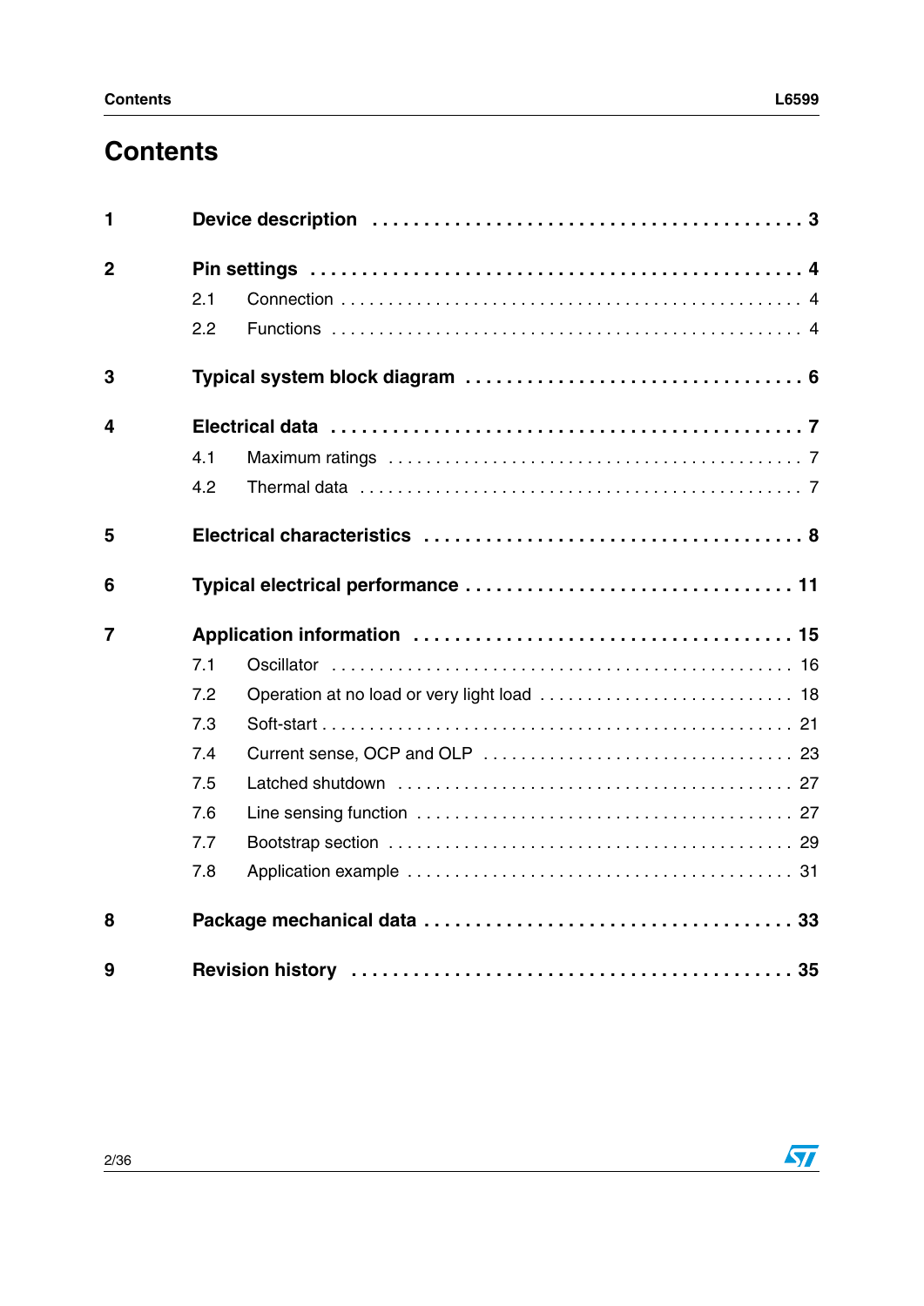# **Contents**

| 1              |     |  |
|----------------|-----|--|
| $\overline{2}$ |     |  |
|                | 2.1 |  |
|                | 2.2 |  |
| 3              |     |  |
| 4              |     |  |
|                | 4.1 |  |
|                | 4.2 |  |
| 5              |     |  |
| 6              |     |  |
| $\overline{7}$ |     |  |
|                | 7.1 |  |
|                | 7.2 |  |
|                | 7.3 |  |
|                | 7.4 |  |
|                | 7.5 |  |
|                | 7.6 |  |
|                | 7.7 |  |
|                | 7.8 |  |
| 8              |     |  |
| 9              |     |  |



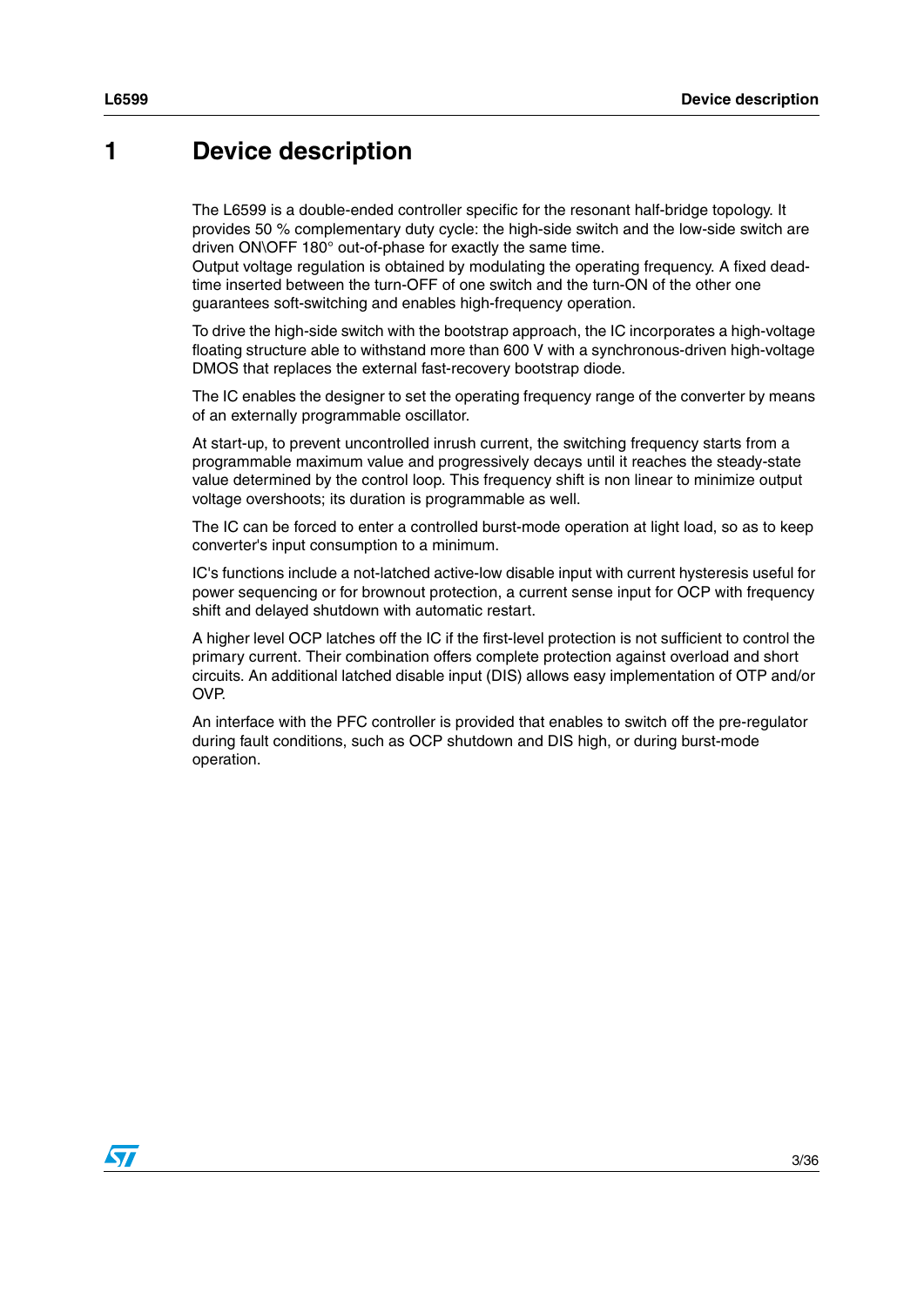## <span id="page-2-0"></span>**1 Device description**

The L6599 is a double-ended controller specific for the resonant half-bridge topology. It provides 50 % complementary duty cycle: the high-side switch and the low-side switch are driven ON\OFF 180° out-of-phase for exactly the same time.

Output voltage regulation is obtained by modulating the operating frequency. A fixed deadtime inserted between the turn-OFF of one switch and the turn-ON of the other one guarantees soft-switching and enables high-frequency operation.

To drive the high-side switch with the bootstrap approach, the IC incorporates a high-voltage floating structure able to withstand more than 600 V with a synchronous-driven high-voltage DMOS that replaces the external fast-recovery bootstrap diode.

The IC enables the designer to set the operating frequency range of the converter by means of an externally programmable oscillator.

At start-up, to prevent uncontrolled inrush current, the switching frequency starts from a programmable maximum value and progressively decays until it reaches the steady-state value determined by the control loop. This frequency shift is non linear to minimize output voltage overshoots; its duration is programmable as well.

The IC can be forced to enter a controlled burst-mode operation at light load, so as to keep converter's input consumption to a minimum.

IC's functions include a not-latched active-low disable input with current hysteresis useful for power sequencing or for brownout protection, a current sense input for OCP with frequency shift and delayed shutdown with automatic restart.

A higher level OCP latches off the IC if the first-level protection is not sufficient to control the primary current. Their combination offers complete protection against overload and short circuits. An additional latched disable input (DIS) allows easy implementation of OTP and/or OVP.

An interface with the PFC controller is provided that enables to switch off the pre-regulator during fault conditions, such as OCP shutdown and DIS high, or during burst-mode operation.

 $\sqrt{}$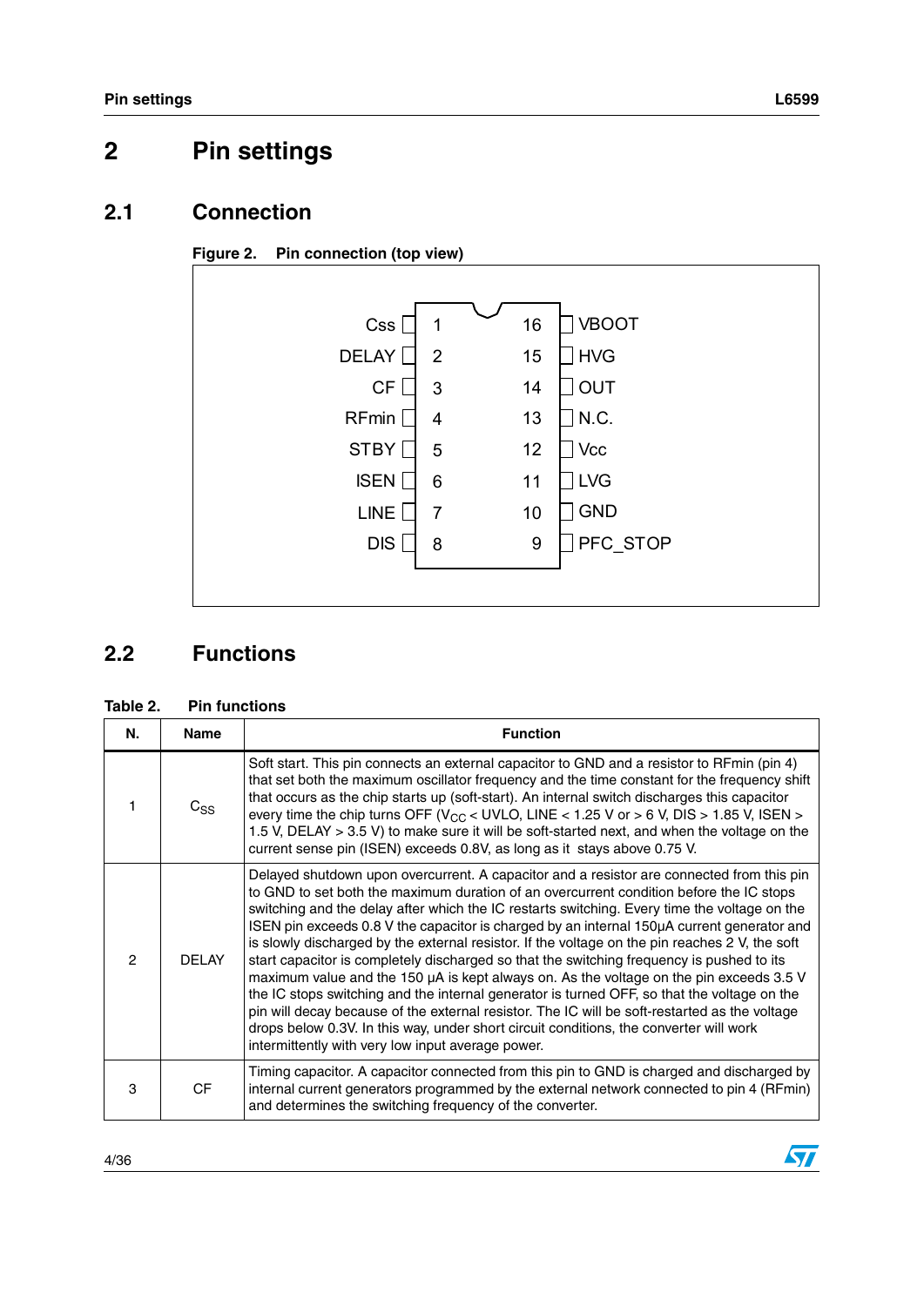$\sqrt{2}$ 

# <span id="page-3-0"></span>**2 Pin settings**

### <span id="page-3-1"></span>**2.1 Connection**





## <span id="page-3-2"></span>**2.2 Functions**

#### **Table 2. Pin functions**

| N.            | <b>Name</b> | <b>Function</b>                                                                                                                                                                                                                                                                                                                                                                                                                                                                                                                                                                                                                                                                                                                                                                                                                                                                                                                                                                                                             |
|---------------|-------------|-----------------------------------------------------------------------------------------------------------------------------------------------------------------------------------------------------------------------------------------------------------------------------------------------------------------------------------------------------------------------------------------------------------------------------------------------------------------------------------------------------------------------------------------------------------------------------------------------------------------------------------------------------------------------------------------------------------------------------------------------------------------------------------------------------------------------------------------------------------------------------------------------------------------------------------------------------------------------------------------------------------------------------|
|               | $C_{SS}$    | Soft start. This pin connects an external capacitor to GND and a resistor to RFmin (pin 4)<br>that set both the maximum oscillator frequency and the time constant for the frequency shift<br>that occurs as the chip starts up (soft-start). An internal switch discharges this capacitor<br>every time the chip turns OFF ( $V_{CC}$ < UVLO, LINE < 1.25 V or > 6 V, DIS > 1.85 V, ISEN ><br>1.5 V, DELAY > 3.5 V) to make sure it will be soft-started next, and when the voltage on the<br>current sense pin (ISEN) exceeds 0.8V, as long as it stays above 0.75 V.                                                                                                                                                                                                                                                                                                                                                                                                                                                     |
| $\mathcal{P}$ | DEL AY      | Delayed shutdown upon overcurrent. A capacitor and a resistor are connected from this pin<br>to GND to set both the maximum duration of an overcurrent condition before the IC stops<br>switching and the delay after which the IC restarts switching. Every time the voltage on the<br>ISEN pin exceeds 0.8 V the capacitor is charged by an internal 150µA current generator and<br>is slowly discharged by the external resistor. If the voltage on the pin reaches 2 V, the soft<br>start capacitor is completely discharged so that the switching frequency is pushed to its<br>maximum value and the 150 µA is kept always on. As the voltage on the pin exceeds 3.5 V<br>the IC stops switching and the internal generator is turned OFF, so that the voltage on the<br>pin will decay because of the external resistor. The IC will be soft-restarted as the voltage<br>drops below 0.3V. In this way, under short circuit conditions, the converter will work<br>intermittently with very low input average power. |
| 3             | <b>CF</b>   | Timing capacitor. A capacitor connected from this pin to GND is charged and discharged by<br>internal current generators programmed by the external network connected to pin 4 (RFmin)<br>and determines the switching frequency of the converter.                                                                                                                                                                                                                                                                                                                                                                                                                                                                                                                                                                                                                                                                                                                                                                          |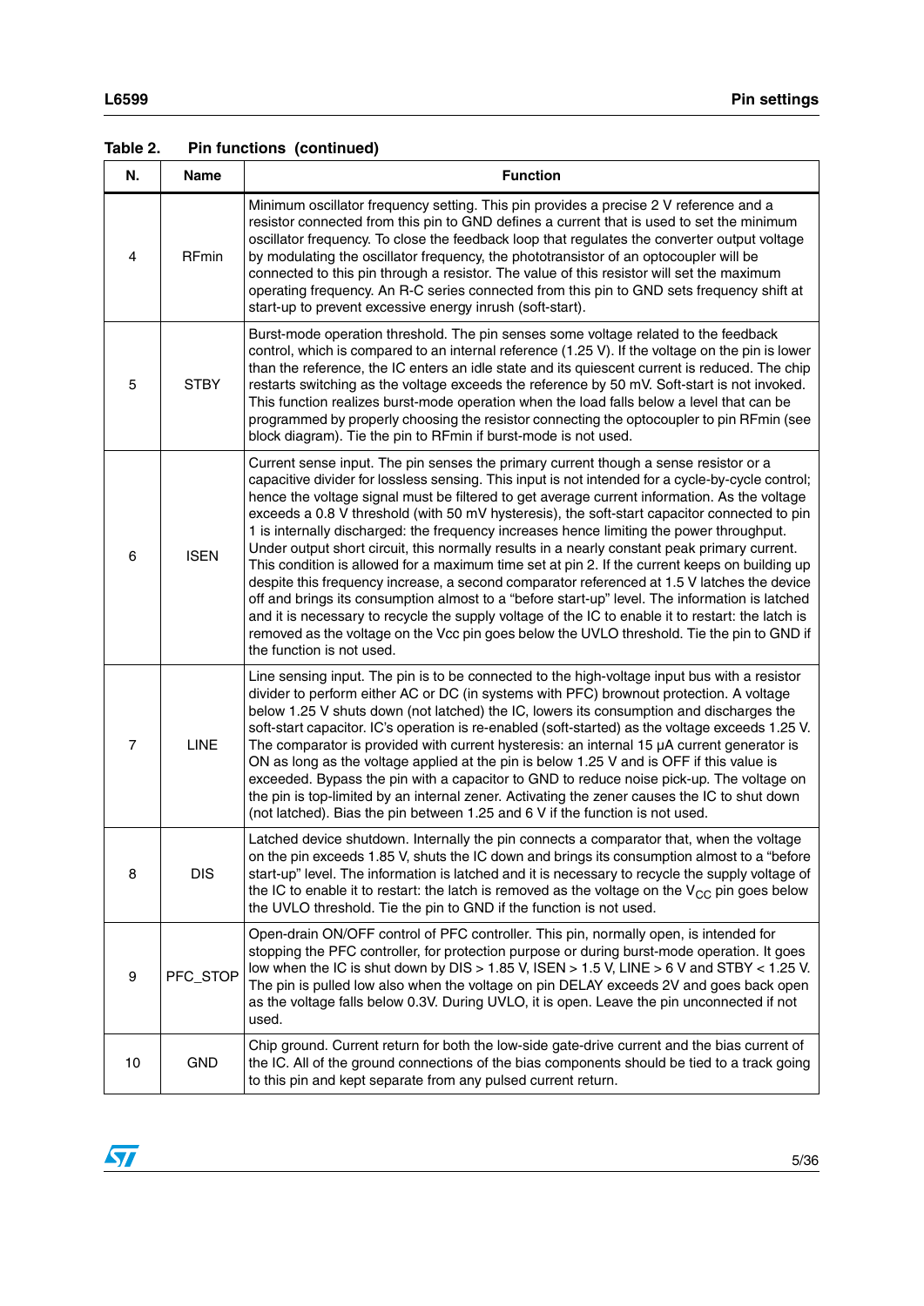| N.             | Name         | <b>Function</b>                                                                                                                                                                                                                                                                                                                                                                                                                                                                                                                                                                                                                                                                                                                                                                                                                                                                                                                                                                                                                                                                                                          |
|----------------|--------------|--------------------------------------------------------------------------------------------------------------------------------------------------------------------------------------------------------------------------------------------------------------------------------------------------------------------------------------------------------------------------------------------------------------------------------------------------------------------------------------------------------------------------------------------------------------------------------------------------------------------------------------------------------------------------------------------------------------------------------------------------------------------------------------------------------------------------------------------------------------------------------------------------------------------------------------------------------------------------------------------------------------------------------------------------------------------------------------------------------------------------|
| 4              | <b>RFmin</b> | Minimum oscillator frequency setting. This pin provides a precise 2 V reference and a<br>resistor connected from this pin to GND defines a current that is used to set the minimum<br>oscillator frequency. To close the feedback loop that regulates the converter output voltage<br>by modulating the oscillator frequency, the phototransistor of an optocoupler will be<br>connected to this pin through a resistor. The value of this resistor will set the maximum<br>operating frequency. An R-C series connected from this pin to GND sets frequency shift at<br>start-up to prevent excessive energy inrush (soft-start).                                                                                                                                                                                                                                                                                                                                                                                                                                                                                       |
| 5              | <b>STBY</b>  | Burst-mode operation threshold. The pin senses some voltage related to the feedback<br>control, which is compared to an internal reference (1.25 V). If the voltage on the pin is lower<br>than the reference, the IC enters an idle state and its quiescent current is reduced. The chip<br>restarts switching as the voltage exceeds the reference by 50 mV. Soft-start is not invoked.<br>This function realizes burst-mode operation when the load falls below a level that can be<br>programmed by properly choosing the resistor connecting the optocoupler to pin RFmin (see<br>block diagram). Tie the pin to RFmin if burst-mode is not used.                                                                                                                                                                                                                                                                                                                                                                                                                                                                   |
| 6              | <b>ISEN</b>  | Current sense input. The pin senses the primary current though a sense resistor or a<br>capacitive divider for lossless sensing. This input is not intended for a cycle-by-cycle control;<br>hence the voltage signal must be filtered to get average current information. As the voltage<br>exceeds a 0.8 V threshold (with 50 mV hysteresis), the soft-start capacitor connected to pin<br>1 is internally discharged: the frequency increases hence limiting the power throughput.<br>Under output short circuit, this normally results in a nearly constant peak primary current.<br>This condition is allowed for a maximum time set at pin 2. If the current keeps on building up<br>despite this frequency increase, a second comparator referenced at 1.5 V latches the device<br>off and brings its consumption almost to a "before start-up" level. The information is latched<br>and it is necessary to recycle the supply voltage of the IC to enable it to restart: the latch is<br>removed as the voltage on the Vcc pin goes below the UVLO threshold. Tie the pin to GND if<br>the function is not used. |
| $\overline{7}$ | <b>LINE</b>  | Line sensing input. The pin is to be connected to the high-voltage input bus with a resistor<br>divider to perform either AC or DC (in systems with PFC) brownout protection. A voltage<br>below 1.25 V shuts down (not latched) the IC, lowers its consumption and discharges the<br>soft-start capacitor. IC's operation is re-enabled (soft-started) as the voltage exceeds 1.25 V.<br>The comparator is provided with current hysteresis: an internal 15 µA current generator is<br>ON as long as the voltage applied at the pin is below 1.25 V and is OFF if this value is<br>exceeded. Bypass the pin with a capacitor to GND to reduce noise pick-up. The voltage on<br>the pin is top-limited by an internal zener. Activating the zener causes the IC to shut down<br>(not latched). Bias the pin between 1.25 and 6 V if the function is not used.                                                                                                                                                                                                                                                            |
| 8              | <b>DIS</b>   | Latched device shutdown. Internally the pin connects a comparator that, when the voltage<br>on the pin exceeds 1.85 V, shuts the IC down and brings its consumption almost to a "before<br>start-up" level. The information is latched and it is necessary to recycle the supply voltage of<br>the IC to enable it to restart: the latch is removed as the voltage on the $V_{CC}$ pin goes below<br>the UVLO threshold. Tie the pin to GND if the function is not used.                                                                                                                                                                                                                                                                                                                                                                                                                                                                                                                                                                                                                                                 |
| 9              | PFC_STOP     | Open-drain ON/OFF control of PFC controller. This pin, normally open, is intended for<br>stopping the PFC controller, for protection purpose or during burst-mode operation. It goes<br>low when the IC is shut down by DIS > 1.85 V, ISEN > 1.5 V, LINE > 6 V and STBY < 1.25 V.<br>The pin is pulled low also when the voltage on pin DELAY exceeds 2V and goes back open<br>as the voltage falls below 0.3V. During UVLO, it is open. Leave the pin unconnected if not<br>used.                                                                                                                                                                                                                                                                                                                                                                                                                                                                                                                                                                                                                                       |
| 10             | <b>GND</b>   | Chip ground. Current return for both the low-side gate-drive current and the bias current of<br>the IC. All of the ground connections of the bias components should be tied to a track going<br>to this pin and kept separate from any pulsed current return.                                                                                                                                                                                                                                                                                                                                                                                                                                                                                                                                                                                                                                                                                                                                                                                                                                                            |

### **Table 2. Pin functions (continued)**

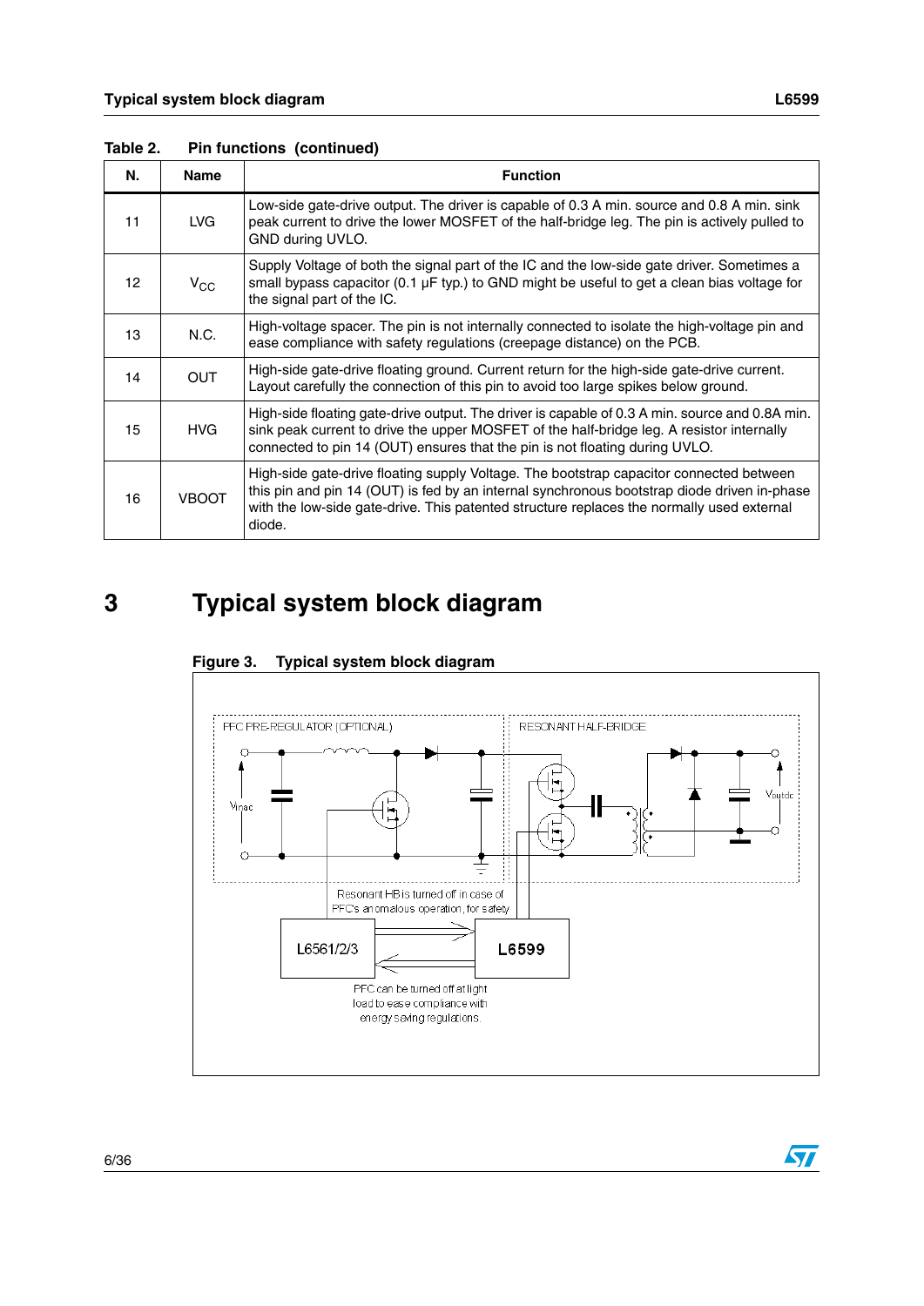| Ν. | <b>Name</b>  | <b>Function</b>                                                                                                                                                                                                                                                                               |
|----|--------------|-----------------------------------------------------------------------------------------------------------------------------------------------------------------------------------------------------------------------------------------------------------------------------------------------|
| 11 | LVG.         | Low-side gate-drive output. The driver is capable of 0.3 A min. source and 0.8 A min. sink<br>peak current to drive the lower MOSFET of the half-bridge leg. The pin is actively pulled to<br>GND during UVLO.                                                                                |
| 12 | $V_{\rm CC}$ | Supply Voltage of both the signal part of the IC and the low-side gate driver. Sometimes a<br>small bypass capacitor (0.1 µF typ.) to GND might be useful to get a clean bias voltage for<br>the signal part of the IC.                                                                       |
| 13 | N.C.         | High-voltage spacer. The pin is not internally connected to isolate the high-voltage pin and<br>ease compliance with safety regulations (creepage distance) on the PCB.                                                                                                                       |
| 14 | <b>OUT</b>   | High-side gate-drive floating ground. Current return for the high-side gate-drive current.<br>Layout carefully the connection of this pin to avoid too large spikes below ground.                                                                                                             |
| 15 | <b>HVG</b>   | High-side floating gate-drive output. The driver is capable of 0.3 A min. source and 0.8A min.<br>sink peak current to drive the upper MOSFET of the half-bridge leg. A resistor internally<br>connected to pin 14 (OUT) ensures that the pin is not floating during UVLO.                    |
| 16 | <b>VBOOT</b> | High-side gate-drive floating supply Voltage. The bootstrap capacitor connected between<br>this pin and pin 14 (OUT) is fed by an internal synchronous bootstrap diode driven in-phase<br>with the low-side gate-drive. This patented structure replaces the normally used external<br>diode. |

**Table 2. Pin functions (continued)**

# <span id="page-5-0"></span>**3 Typical system block diagram**



### **Figure 3. Typical system block diagram**

 $\overline{\mathbf{S}}$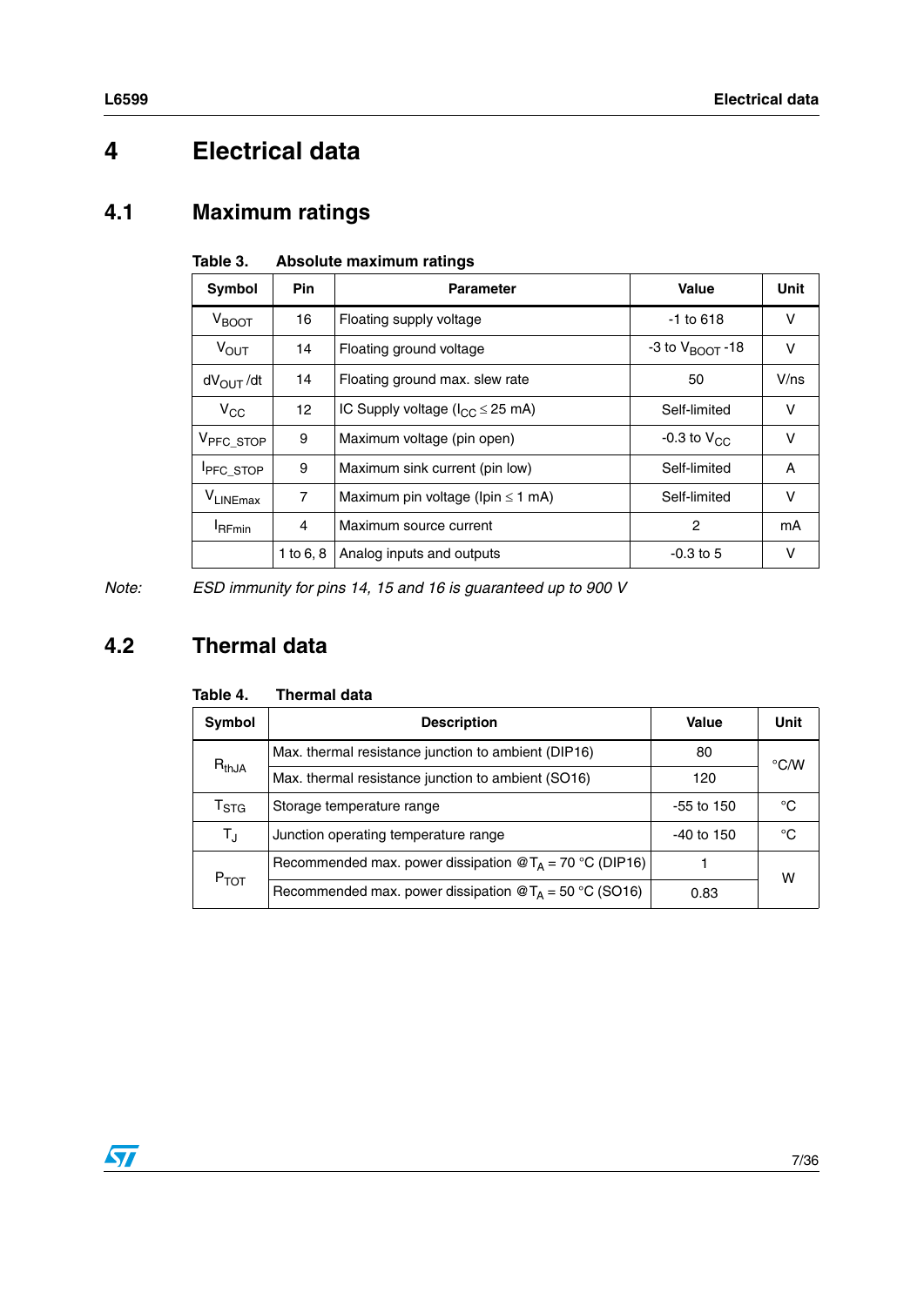# <span id="page-6-0"></span>**4 Electrical data**

# <span id="page-6-1"></span>**4.1 Maximum ratings**

| Symbol                | <b>Pin</b>      | <b>Parameter</b>                        | Value                       | <b>Unit</b> |
|-----------------------|-----------------|-----------------------------------------|-----------------------------|-------------|
| $V_{\text{BOOT}}$     | 16              | Floating supply voltage                 | $-1$ to 618                 | v           |
| $V_{\text{OUT}}$      | 14              | Floating ground voltage                 | -3 to $V_{\text{BOOT}}$ -18 | $\vee$      |
| $dV_{\text{OUT}}/dt$  | 14              | Floating ground max. slew rate          | 50                          | V/ns        |
| $V_{CC}$              | 12 <sup>2</sup> | IC Supply voltage ( $I_{CC} \le 25$ mA) | Self-limited                | $\vee$      |
| V <sub>PFC_STOP</sub> | 9               | Maximum voltage (pin open)              | -0.3 to $V_{CC}$            | $\vee$      |
| <b>IPFC_STOP</b>      | 9               | Maximum sink current (pin low)          | Self-limited                | A           |
| VLINEmax              | $\overline{7}$  | Maximum pin voltage (lpin $\leq$ 1 mA)  | Self-limited                | $\vee$      |
| <b>I</b> RFmin        | 4               | Maximum source current                  | 2                           | mA          |
|                       | 1 to $6, 8$     | Analog inputs and outputs               | $-0.3$ to 5                 | v           |

#### **Table 3. Absolute maximum ratings**

*Note: ESD immunity for pins 14, 15 and 16 is guaranteed up to 900 V*

# <span id="page-6-2"></span>**4.2 Thermal data**

|  | Table 4. | <b>Thermal data</b> |  |
|--|----------|---------------------|--|
|--|----------|---------------------|--|

| Symbol                    | <b>Description</b>                                                         | Value        | Unit               |  |
|---------------------------|----------------------------------------------------------------------------|--------------|--------------------|--|
|                           | Max. thermal resistance junction to ambient (DIP16)                        | 80           | $\rm ^{\circ}$ C/W |  |
| $R_{thJA}$                | Max. thermal resistance junction to ambient (SO16)                         | 120          |                    |  |
| $\mathsf{T}_{\text{STG}}$ | Storage temperature range                                                  | $-55$ to 150 | °C                 |  |
| $T_{\rm J}$               | Junction operating temperature range                                       | $-40$ to 150 | °C                 |  |
| $P_{TOT}$                 | Recommended max. power dissipation $\mathcal{Q}T_A = 70 \degree C$ (DIP16) |              | w                  |  |
|                           | Recommended max. power dissipation $\mathcal{Q}T_A = 50 \degree C$ (SO16)  | 0.83         |                    |  |

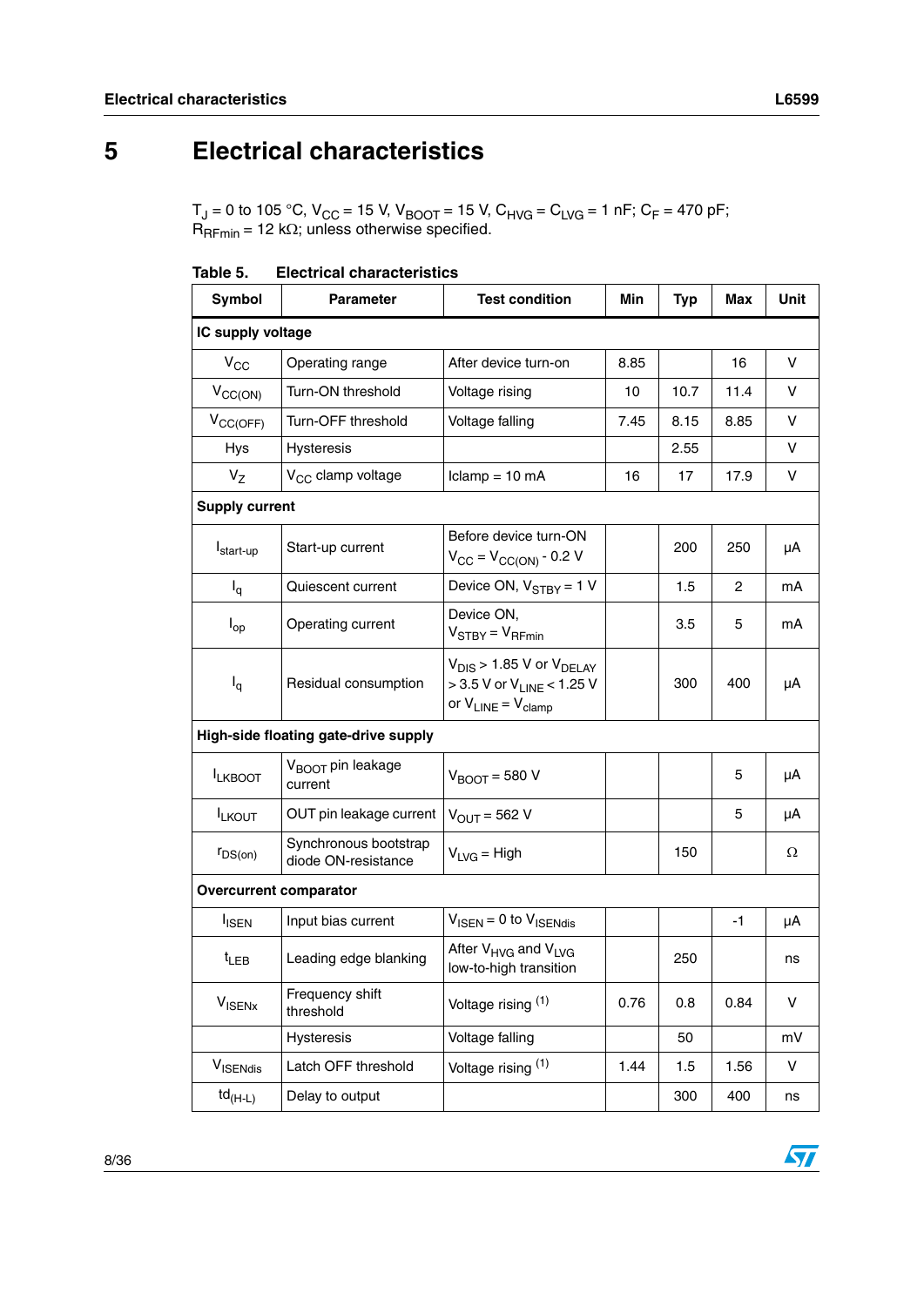# <span id="page-7-0"></span>**5 Electrical characteristics**

T<sub>J</sub> = 0 to 105 °C, V<sub>CC</sub> = 15 V, V<sub>BOOT</sub> = 15 V, C<sub>HVG</sub> = C<sub>LVG</sub> = 1 nF; C<sub>F</sub> = 470 pF; R<sub>RFmin</sub> = 12 kΩ; unless otherwise specified.

| rapie p.                                       | Electrical characteristics                   |                                                                                                         |      |            |      |             |  |  |  |
|------------------------------------------------|----------------------------------------------|---------------------------------------------------------------------------------------------------------|------|------------|------|-------------|--|--|--|
| Symbol                                         | <b>Parameter</b>                             | <b>Test condition</b>                                                                                   | Min  | <b>Typ</b> | Max  | <b>Unit</b> |  |  |  |
|                                                | IC supply voltage                            |                                                                                                         |      |            |      |             |  |  |  |
| $V_{CC}$                                       | Operating range                              | After device turn-on                                                                                    | 8.85 |            | 16   | v           |  |  |  |
| $V_{CC(ON)}$                                   | Turn-ON threshold                            | Voltage rising                                                                                          | 10   | 10.7       | 11.4 | v           |  |  |  |
| $V_{CC(OFF)}$                                  | Turn-OFF threshold                           | Voltage falling                                                                                         | 7.45 | 8.15       | 8.85 | v           |  |  |  |
| <b>Hys</b>                                     | Hysteresis                                   |                                                                                                         |      | 2.55       |      | v           |  |  |  |
| $V_{Z}$                                        | V <sub>CC</sub> clamp voltage                | $lclamp = 10 mA$                                                                                        | 16   | 17         | 17.9 | V           |  |  |  |
| <b>Supply current</b>                          |                                              |                                                                                                         |      |            |      |             |  |  |  |
| I <sub>start-up</sub>                          | Start-up current                             | Before device turn-ON<br>$V_{CC} = V_{CC(ON)} - 0.2 V$                                                  |      | 200        | 250  | μA          |  |  |  |
| $I_q$                                          | Quiescent current                            | Device ON, $V_{STBY} = 1 V$                                                                             |      | 1.5        | 2    | mA          |  |  |  |
| $I_{op}$                                       | Operating current                            | Device ON,<br>$V_{STBY} = V_{RFmin}$                                                                    |      | 3.5        | 5    | mA          |  |  |  |
| $I_q$                                          | Residual consumption                         | $V_{DIS}$ > 1.85 V or $V_{DELAY}$<br>> 3.5 V or V <sub>LINE</sub> < 1.25 V<br>or $V_{LINE} = V_{clamp}$ |      | 300        | 400  | μA          |  |  |  |
|                                                | High-side floating gate-drive supply         |                                                                                                         |      |            |      |             |  |  |  |
| <b>ILKBOOT</b>                                 | V <sub>BOOT</sub> pin leakage<br>current     | $V_{\text{ROT}}$ = 580 V                                                                                |      |            | 5    | μA          |  |  |  |
| <b>ILKOUT</b>                                  | OUT pin leakage current                      | $V_{\text{OUT}} = 562$ V                                                                                |      |            | 5    | μA          |  |  |  |
| $r_{DS(on)}$                                   | Synchronous bootstrap<br>diode ON-resistance | $V_{LVG}$ = High                                                                                        |      | 150        |      | Ω           |  |  |  |
| <b>Overcurrent comparator</b>                  |                                              |                                                                                                         |      |            |      |             |  |  |  |
| <b>I</b> ISEN                                  | Input bias current                           | $V_{\text{ISEN}} = 0$ to $V_{\text{ISENdis}}$                                                           |      |            | $-1$ | μA          |  |  |  |
| $t_{LEB}$                                      | Leading edge blanking                        | After V <sub>HVG</sub> and V <sub>LVG</sub><br>low-to-high transition                                   |      | 250        |      | ns          |  |  |  |
| $V_{\text{ISENX}}$                             | Frequency shift<br>threshold                 | Voltage rising (1)                                                                                      | 0.76 | 0.8        | 0.84 | v           |  |  |  |
|                                                | <b>Hysteresis</b>                            | Voltage falling                                                                                         |      | 50         |      | mV          |  |  |  |
| V <sub>ISENdis</sub>                           | Latch OFF threshold                          | Voltage rising (1)                                                                                      | 1.44 | 1.5        | 1.56 | V           |  |  |  |
| $\mathsf{td}_{(\mathsf{H}\text{-}\mathsf{L})}$ | Delay to output                              |                                                                                                         |      | 300        | 400  | ns          |  |  |  |

**Table 5. Electrical characteristics** 

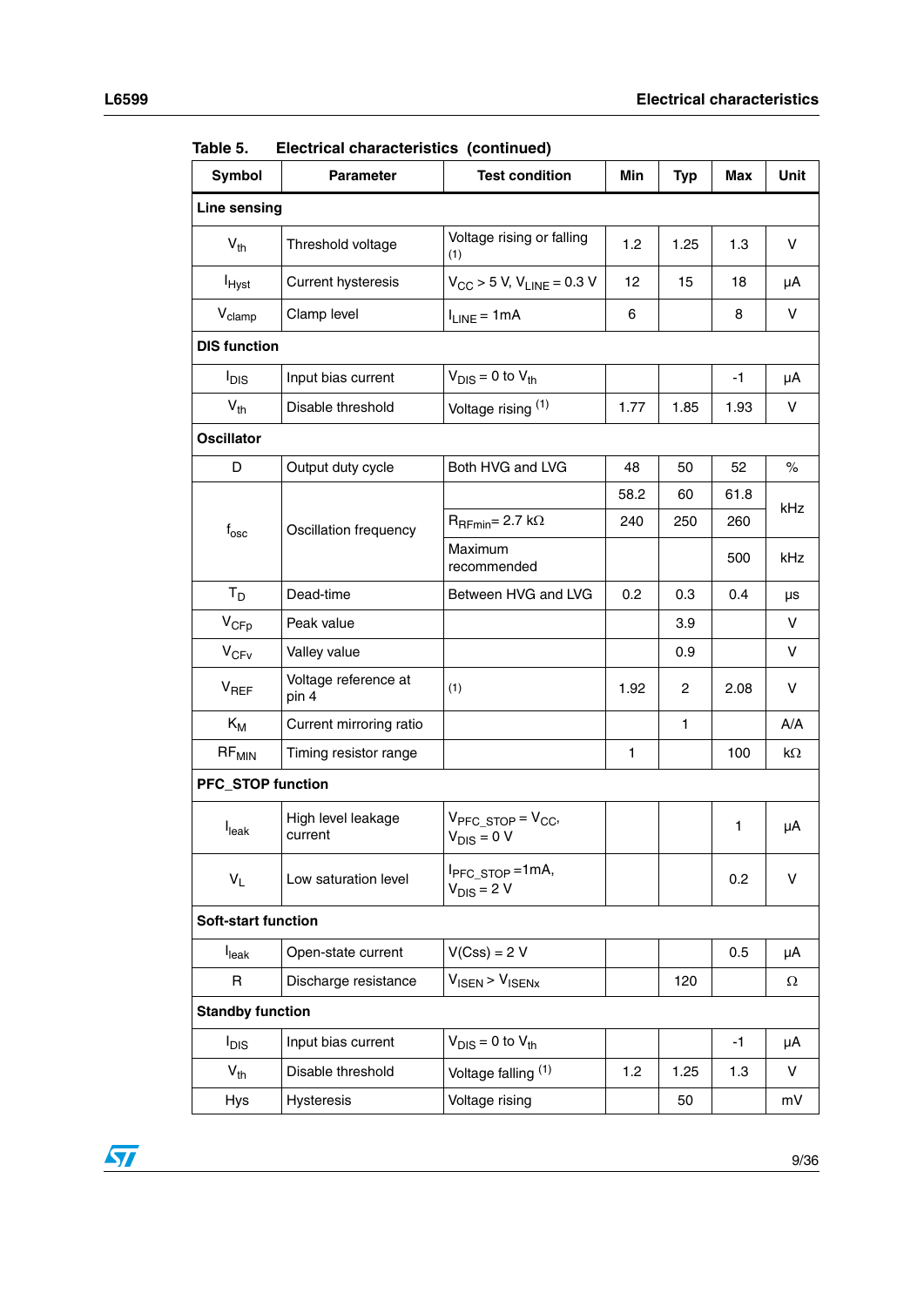| Symbol                      | <b>Parameter</b>              | <b>Test condition</b>                            | Min  | <b>Typ</b>   | Max  | Unit        |  |  |
|-----------------------------|-------------------------------|--------------------------------------------------|------|--------------|------|-------------|--|--|
| <b>Line sensing</b>         |                               |                                                  |      |              |      |             |  |  |
| $V_{th}$                    | Threshold voltage             | Voltage rising or falling<br>(1)                 | 1.2  | 1.25         | 1.3  | V           |  |  |
| <b>I</b> <sub>Hyst</sub>    | <b>Current hysteresis</b>     | $V_{\text{CC}}$ > 5 V, $V_{\text{LINE}}$ = 0.3 V | 12   | 15           | 18   | μA          |  |  |
| V <sub>clamp</sub>          | Clamp level                   | $I_{LINE} = 1mA$                                 | 6    |              | 8    | V           |  |  |
| <b>DIS function</b>         |                               |                                                  |      |              |      |             |  |  |
| I <sub>DIS</sub>            | Input bias current            | $V_{DIS} = 0$ to $V_{th}$                        |      |              | $-1$ | μA          |  |  |
| $V_{th}$                    | Disable threshold             | Voltage rising (1)                               | 1.77 | 1.85         | 1.93 | V           |  |  |
| <b>Oscillator</b>           |                               |                                                  |      |              |      |             |  |  |
| D                           | Output duty cycle             | Both HVG and LVG                                 | 48   | 50           | 52   | $\%$        |  |  |
|                             |                               |                                                  | 58.2 | 60           | 61.8 | kHz         |  |  |
| $\mathsf{f}_{\mathsf{osc}}$ | Oscillation frequency         | $R_{\text{RFmin}} = 2.7 \text{ k}\Omega$         | 240  | 250          | 260  |             |  |  |
|                             |                               | Maximum<br>recommended                           |      |              | 500  | kHz         |  |  |
| $T_D$                       | Dead-time                     | Between HVG and LVG                              | 0.2  | 0.3          | 0.4  | μs          |  |  |
| $V_{\text{CFp}}$            | Peak value                    |                                                  |      | 3.9          |      | V           |  |  |
| $V_{CFV}$                   | Valley value                  |                                                  |      | 0.9          |      | $\mathsf V$ |  |  |
| $V_{REF}$                   | Voltage reference at<br>pin 4 | (1)                                              | 1.92 | 2            | 2.08 | V           |  |  |
| $K_M$                       | Current mirroring ratio       |                                                  |      | $\mathbf{1}$ |      | A/A         |  |  |
| $RF_{MIN}$                  | Timing resistor range         |                                                  | 1    |              | 100  | kΩ          |  |  |
| <b>PFC_STOP function</b>    |                               |                                                  |      |              |      |             |  |  |
| I <sub>leak</sub>           | High level leakage<br>current | $V_{PFC\_STOP} = V_{CC}$<br>$V_{DIS} = 0 V$      |      |              | 1    | μA          |  |  |
| $V_L$                       | Low saturation level          | I <sub>PFC_STOP</sub> =1mA,<br>$V_{DIS} = 2 V$   |      |              | 0.2  | v           |  |  |
| <b>Soft-start function</b>  |                               |                                                  |      |              |      |             |  |  |
| $I_{\text{leak}}$           | Open-state current            | $V(Css) = 2 V$                                   |      |              | 0.5  | μA          |  |  |
| R                           | Discharge resistance          | $V_{\text{ISEN}}$ > $V_{\text{ISENx}}$           |      | 120          |      | Ω           |  |  |
| <b>Standby function</b>     |                               |                                                  |      |              |      |             |  |  |
| $I_{DIS}$                   | Input bias current            | $V_{DIS} = 0$ to $V_{th}$                        |      |              | $-1$ | μA          |  |  |
| $V_{th}$                    | Disable threshold             | Voltage falling (1)                              | 1.2  | 1.25         | 1.3  | V           |  |  |
| <b>Hys</b>                  | Hysteresis                    | Voltage rising                                   |      | 50           |      | mV          |  |  |

**Table 5. Electrical characteristics (continued)**

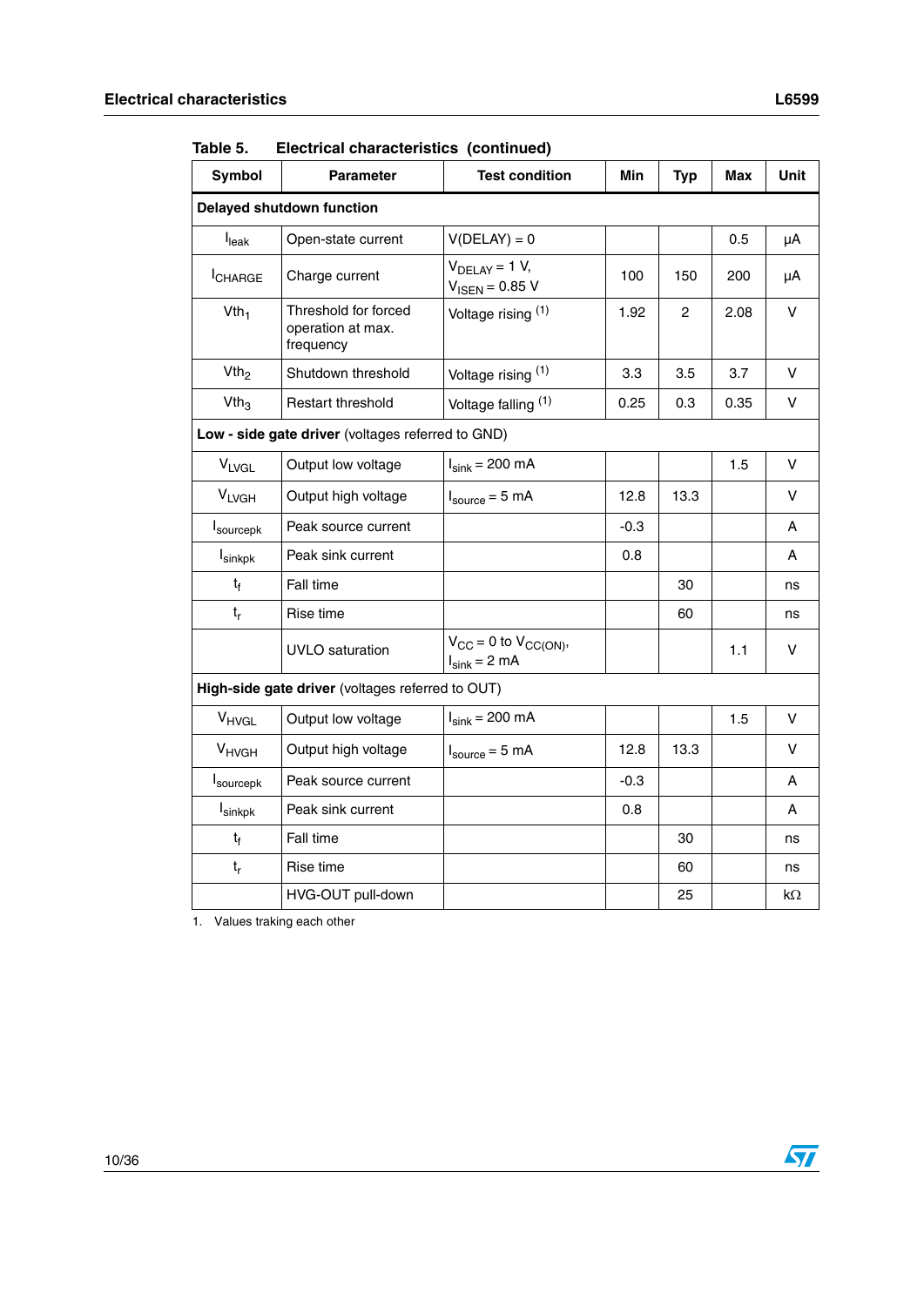| Symbol              | <b>Parameter</b>                                       | <b>Test condition</b>                               | Min    | <b>Typ</b>     | Max  | <b>Unit</b> |
|---------------------|--------------------------------------------------------|-----------------------------------------------------|--------|----------------|------|-------------|
|                     | <b>Delayed shutdown function</b>                       |                                                     |        |                |      |             |
| I <sub>leak</sub>   | Open-state current                                     | $V(DELAY) = 0$                                      |        |                | 0.5  | μA          |
| <b>ICHARGE</b>      | Charge current                                         | $V_{DELAY} = 1 V$ ,<br>$V_{\text{ISEN}} = 0.85 V$   | 100    | 150            | 200  | μA          |
| Vth <sub>1</sub>    | Threshold for forced<br>operation at max.<br>frequency | Voltage rising (1)                                  | 1.92   | $\overline{c}$ | 2.08 | V           |
| Vth <sub>2</sub>    | Shutdown threshold                                     | Voltage rising (1)                                  | 3.3    | 3.5            | 3.7  | V           |
| Vth <sub>3</sub>    | Restart threshold                                      | Voltage falling (1)                                 | 0.25   | 0.3            | 0.35 | v           |
|                     | Low - side gate driver (voltages referred to GND)      |                                                     |        |                |      |             |
| <b>VLVGL</b>        | Output low voltage                                     | $I_{sink}$ = 200 mA                                 |        |                | 1.5  | $\vee$      |
| <b>VLVGH</b>        | Output high voltage                                    | $I_{source} = 5 \text{ mA}$                         | 12.8   | 13.3           |      | $\vee$      |
| sourcepk            | Peak source current                                    |                                                     | $-0.3$ |                |      | A           |
| $I_{\text{sinkpk}}$ | Peak sink current                                      |                                                     | 0.8    |                |      | A           |
| $t_f$               | Fall time                                              |                                                     |        | 30             |      | ns          |
| $t_{r}$             | Rise time                                              |                                                     |        | 60             |      | ns          |
|                     | UVLO saturation                                        | $V_{CC} = 0$ to $V_{CC(ON)}$ ,<br>$I_{sink} = 2 mA$ |        |                | 1.1  | V           |
|                     | High-side gate driver (voltages referred to OUT)       |                                                     |        |                |      |             |
| V <sub>HVGL</sub>   | Output low voltage                                     | $I_{sink} = 200$ mA                                 |        |                | 1.5  | v           |
| $V_{HVGH}$          | Output high voltage                                    | $I_{source} = 5 mA$                                 | 12.8   | 13.3           |      | V           |
| sourcepk            | Peak source current                                    |                                                     | $-0.3$ |                |      | A           |
| I <sub>sinkpk</sub> | Peak sink current                                      |                                                     | 0.8    |                |      | A           |
| $t_{f}$             | Fall time                                              |                                                     |        | 30             |      | ns          |
| $t_r$               | Rise time                                              |                                                     |        | 60             |      | ns          |
|                     | HVG-OUT pull-down                                      |                                                     |        | 25             |      | kΩ          |

**Table 5. Electrical characteristics (continued)**

1. Values traking each other

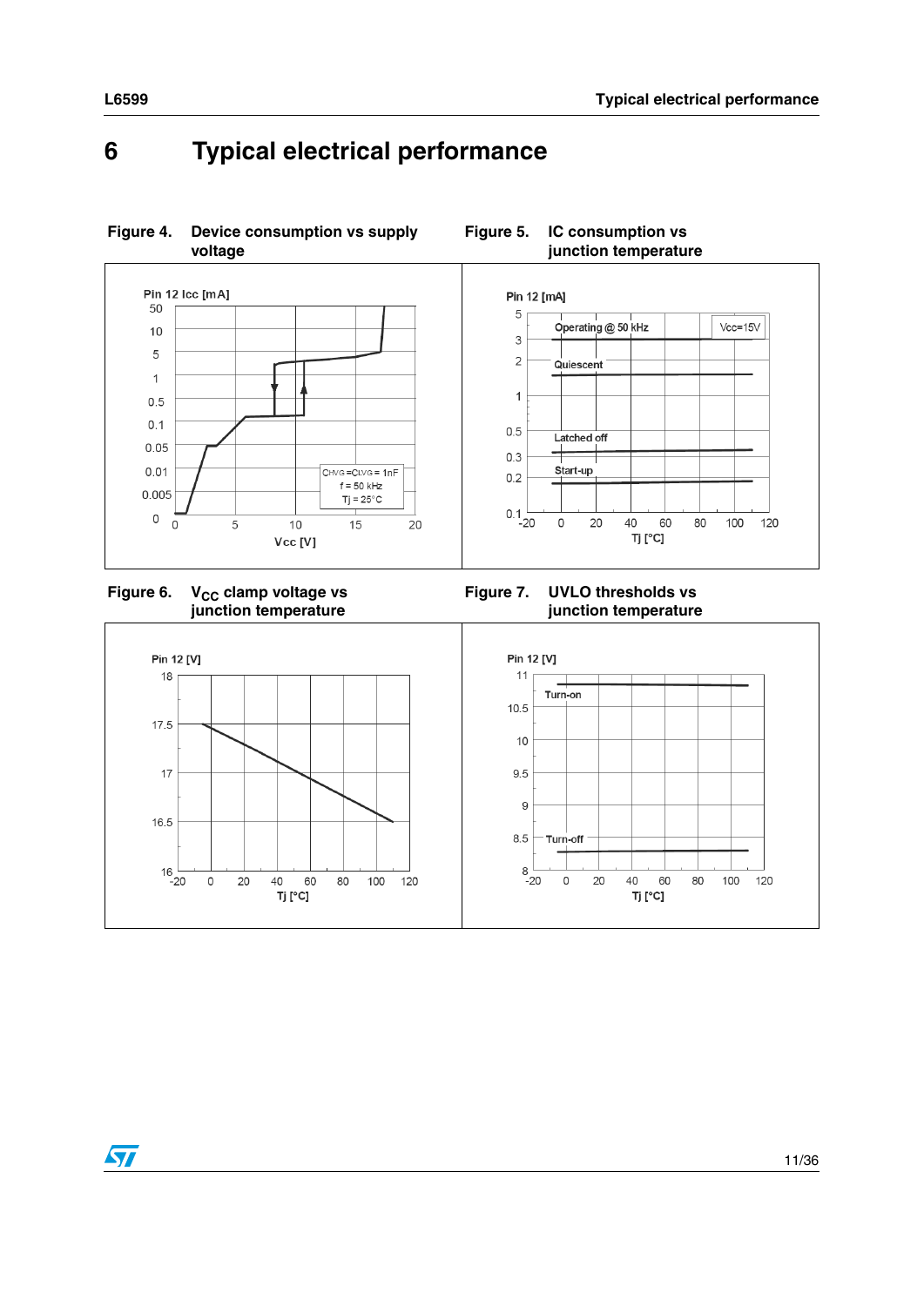# <span id="page-10-0"></span>**6 Typical electrical performance**

**Figure 4. Device consumption vs supply voltage** 





#### **Figure 7. UVLO thresholds vs junction temperature**

**Figure 5. IC consumption vs** 



 $\sqrt{2}$ 

11/36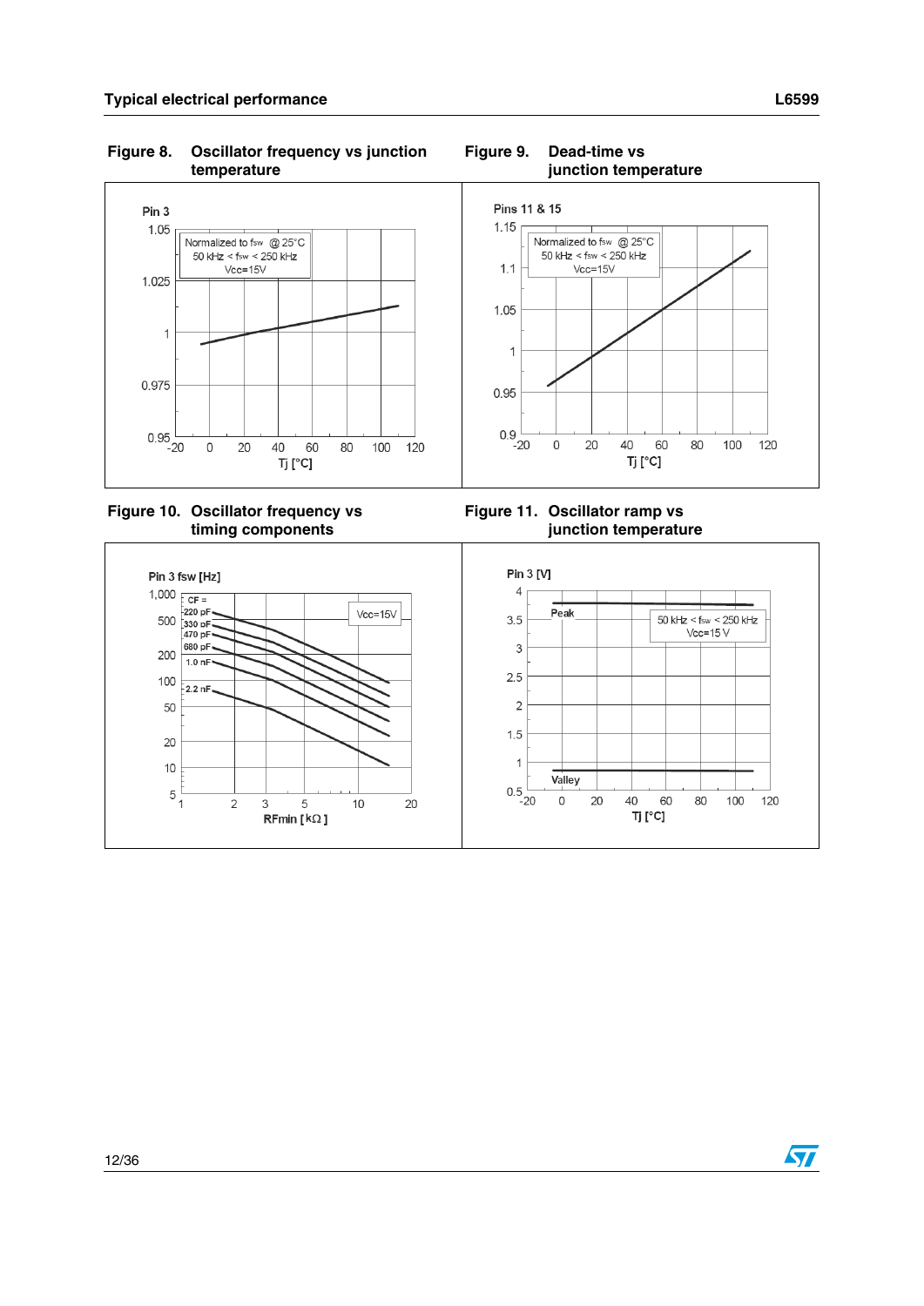**Figure 8. Oscillator frequency vs junction temperature**



**Figure 10. Oscillator frequency vs timing components**

**Figure 11. Oscillator ramp vs junction temperature**



**Figure 9. Dead-time vs junction temperature**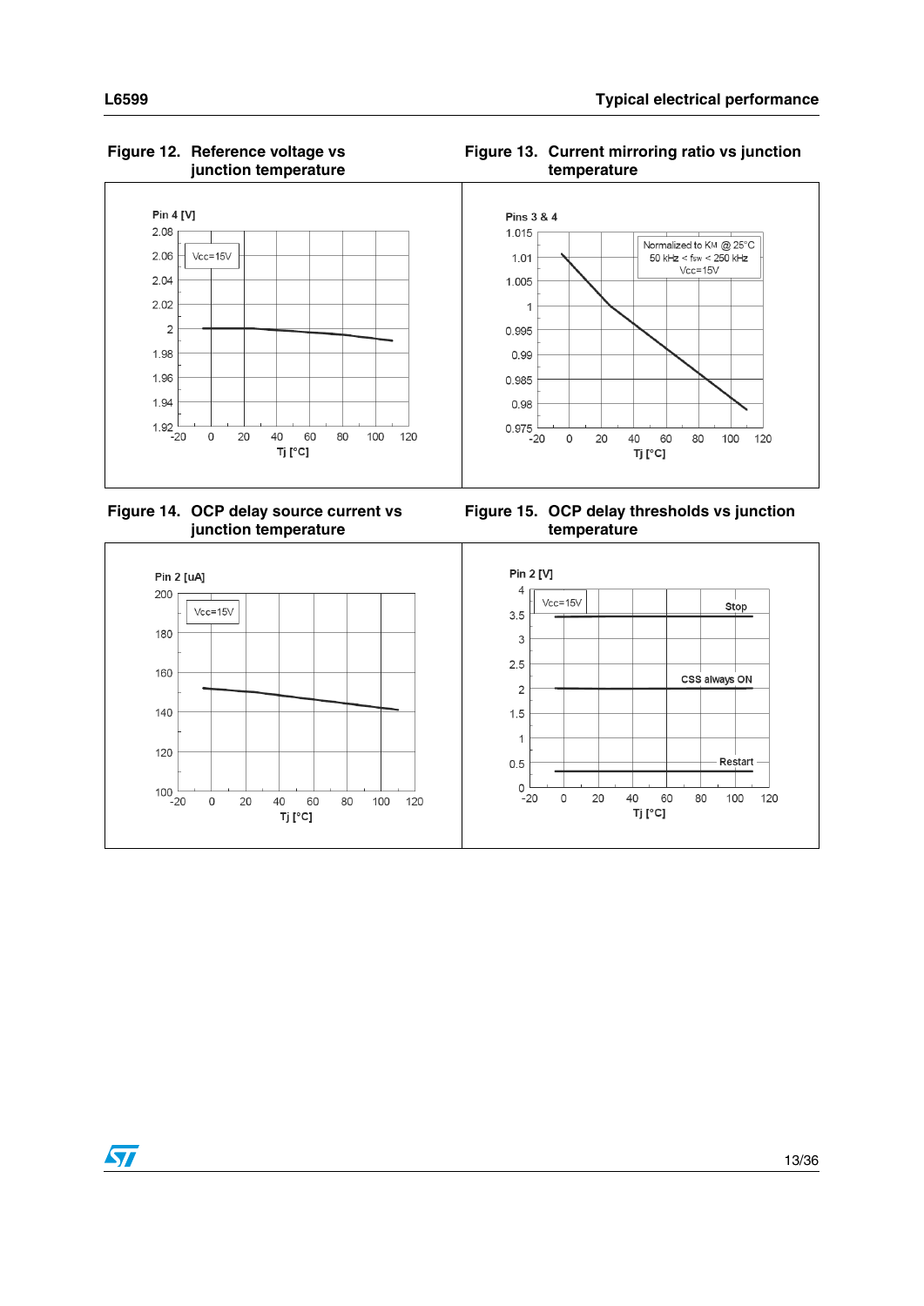#### Pin 4 [V] Pins 3 & 4  $2.08$ 1.015 Normalized to KM @ 25°C  $2.06$  $Vcc=15V$  $50 \text{ kHz} < \text{fsw} < 250 \text{ kHz}$ <br>Vcc=15V  $1.01$  $2.04$ 1.005  $2.02$  $\overline{1}$  $\overline{c}$ 0.995 1.98 0.99 1.96 0.985 1.94 0.98  $0.975$  $1.92\frac{1}{20}$  $\mathsf{O}\xspace$  $20$ 40 60 80 100 120  $\circ$ 20 40 60 80 100 120 Tj [°C] Tj [°C]

#### **Figure 12. Reference voltage vs junction temperature**



**Figure 14. OCP delay source current vs junction temperature**





 $\sqrt{}$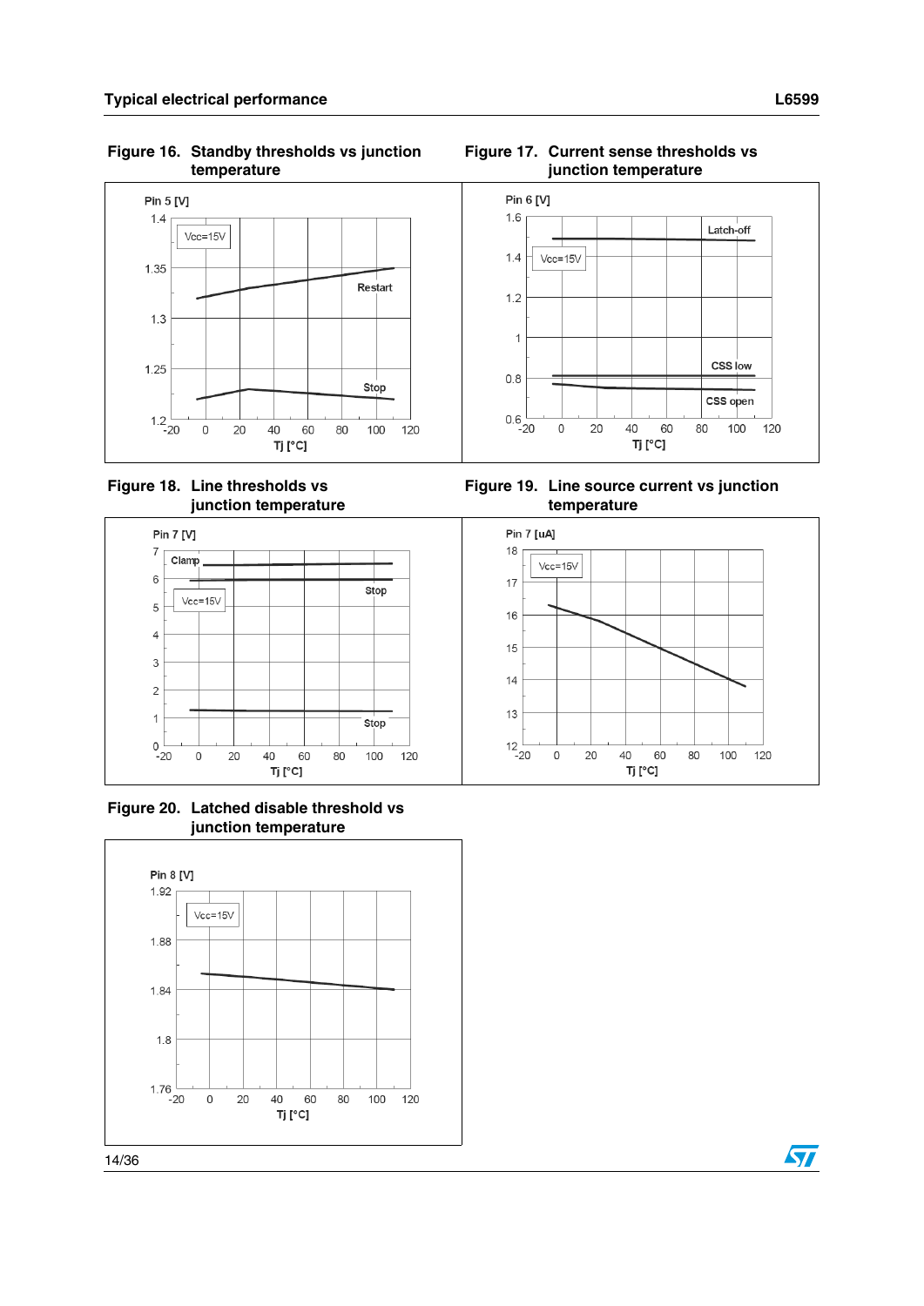#### **Figure 16. Standby thresholds vs junction temperature**



**Figure 18. Line thresholds vs junction temperature**



**Figure 20. Latched disable threshold vs junction temperature**







**Figure 19. Line source current vs junction temperature**



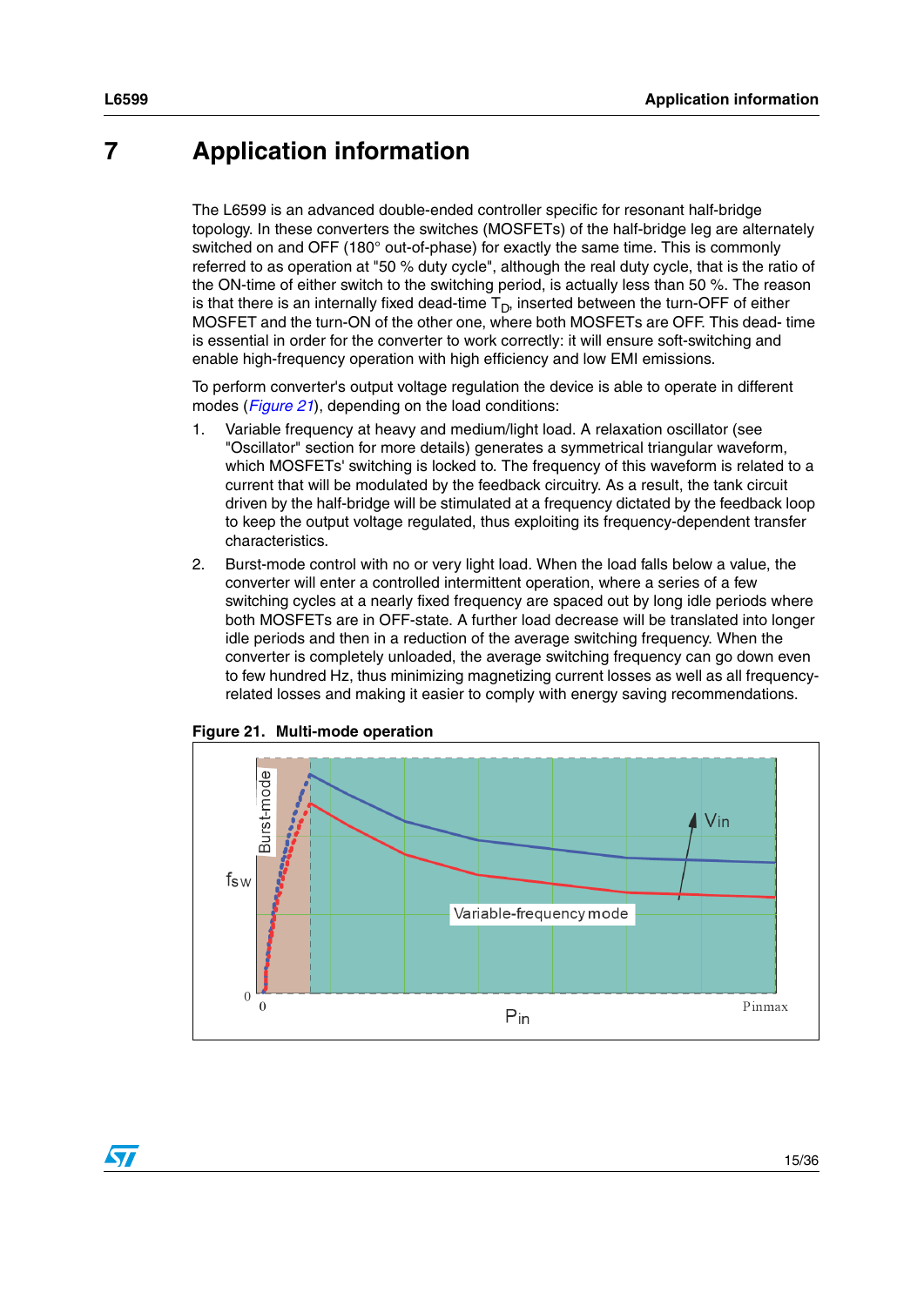# <span id="page-14-0"></span>**7 Application information**

The L6599 is an advanced double-ended controller specific for resonant half-bridge topology. In these converters the switches (MOSFETs) of the half-bridge leg are alternately switched on and OFF (180° out-of-phase) for exactly the same time. This is commonly referred to as operation at "50 % duty cycle", although the real duty cycle, that is the ratio of the ON-time of either switch to the switching period, is actually less than 50 %. The reason is that there is an internally fixed dead-time  $T_D$ , inserted between the turn-OFF of either MOSFET and the turn-ON of the other one, where both MOSFETs are OFF. This dead- time is essential in order for the converter to work correctly: it will ensure soft-switching and enable high-frequency operation with high efficiency and low EMI emissions.

To perform converter's output voltage regulation the device is able to operate in different modes (*[Figure 21](#page-14-1)*), depending on the load conditions:

- 1. Variable frequency at heavy and medium/light load. A relaxation oscillator (see "Oscillator" section for more details) generates a symmetrical triangular waveform, which MOSFETs' switching is locked to. The frequency of this waveform is related to a current that will be modulated by the feedback circuitry. As a result, the tank circuit driven by the half-bridge will be stimulated at a frequency dictated by the feedback loop to keep the output voltage regulated, thus exploiting its frequency-dependent transfer characteristics.
- 2. Burst-mode control with no or very light load. When the load falls below a value, the converter will enter a controlled intermittent operation, where a series of a few switching cycles at a nearly fixed frequency are spaced out by long idle periods where both MOSFETs are in OFF-state. A further load decrease will be translated into longer idle periods and then in a reduction of the average switching frequency. When the converter is completely unloaded, the average switching frequency can go down even to few hundred Hz, thus minimizing magnetizing current losses as well as all frequencyrelated losses and making it easier to comply with energy saving recommendations.



<span id="page-14-1"></span>

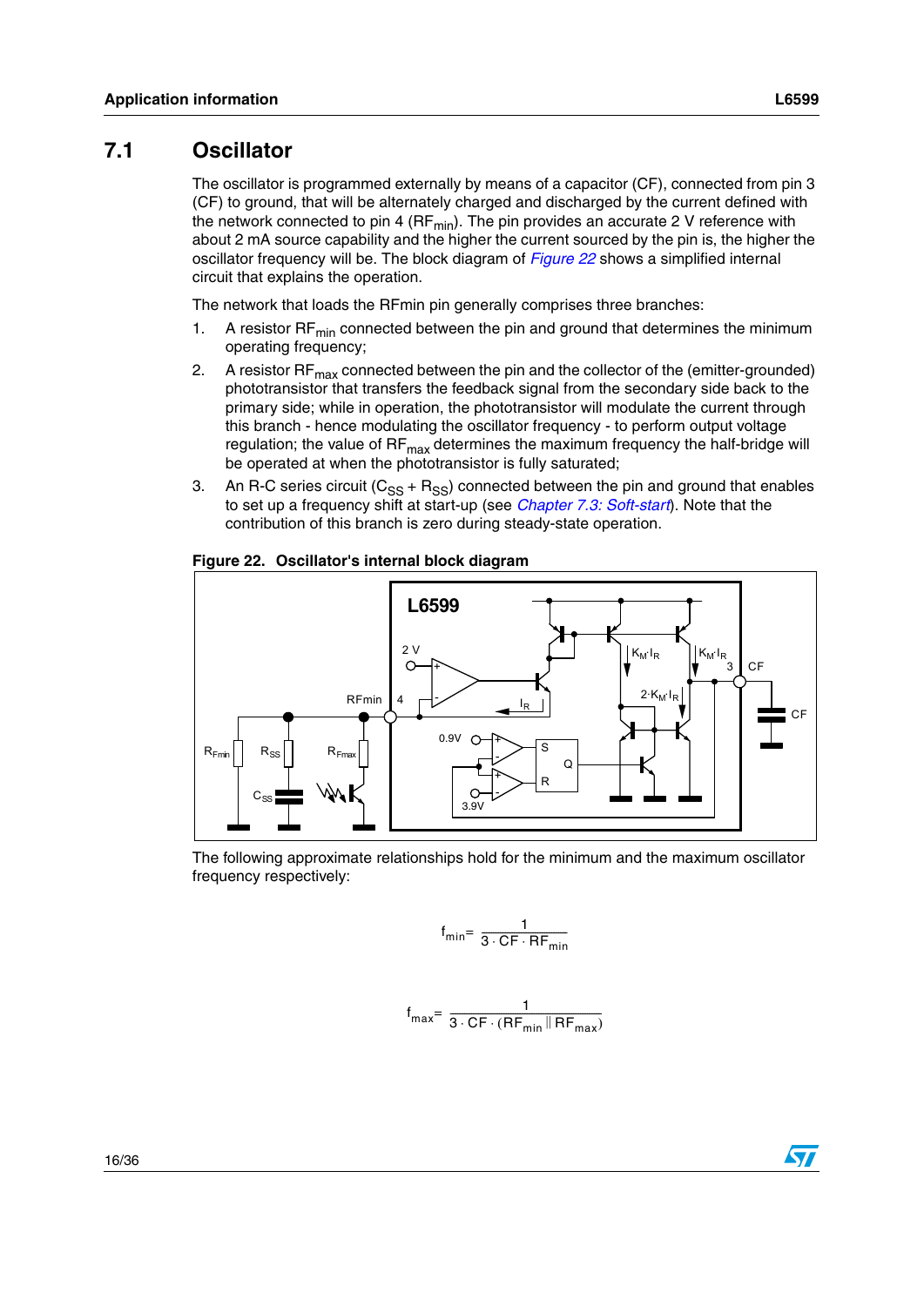### <span id="page-15-0"></span>**7.1 Oscillator**

The oscillator is programmed externally by means of a capacitor (CF), connected from pin 3 (CF) to ground, that will be alternately charged and discharged by the current defined with the network connected to pin 4 (RF $_{min}$ ). The pin provides an accurate 2 V reference with about 2 mA source capability and the higher the current sourced by the pin is, the higher the oscillator frequency will be. The block diagram of *[Figure 22](#page-15-1)* shows a simplified internal circuit that explains the operation.

The network that loads the RFmin pin generally comprises three branches:

- 1. A resistor  $RF_{min}$  connected between the pin and ground that determines the minimum operating frequency;
- 2. A resistor  $\text{RF}_{\text{max}}$  connected between the pin and the collector of the (emitter-grounded) phototransistor that transfers the feedback signal from the secondary side back to the primary side; while in operation, the phototransistor will modulate the current through this branch - hence modulating the oscillator frequency - to perform output voltage regulation; the value of  $RF_{max}$  determines the maximum frequency the half-bridge will be operated at when the phototransistor is fully saturated;
- 3. An R-C series circuit ( $C_{SS}$  + R<sub>SS</sub>) connected between the pin and ground that enables to set up a frequency shift at start-up (see *[Chapter 7.3: Soft-start](#page-20-0)*). Note that the contribution of this branch is zero during steady-state operation.



#### <span id="page-15-1"></span>**Figure 22. Oscillator's internal block diagram**

The following approximate relationships hold for the minimum and the maximum oscillator frequency respectively:

$$
f_{min} = \frac{1}{3 \cdot CF \cdot RF_{min}}
$$

$$
f_{max} = \frac{1}{3 \cdot CF \cdot (RF_{min} \| RF_{max})}
$$

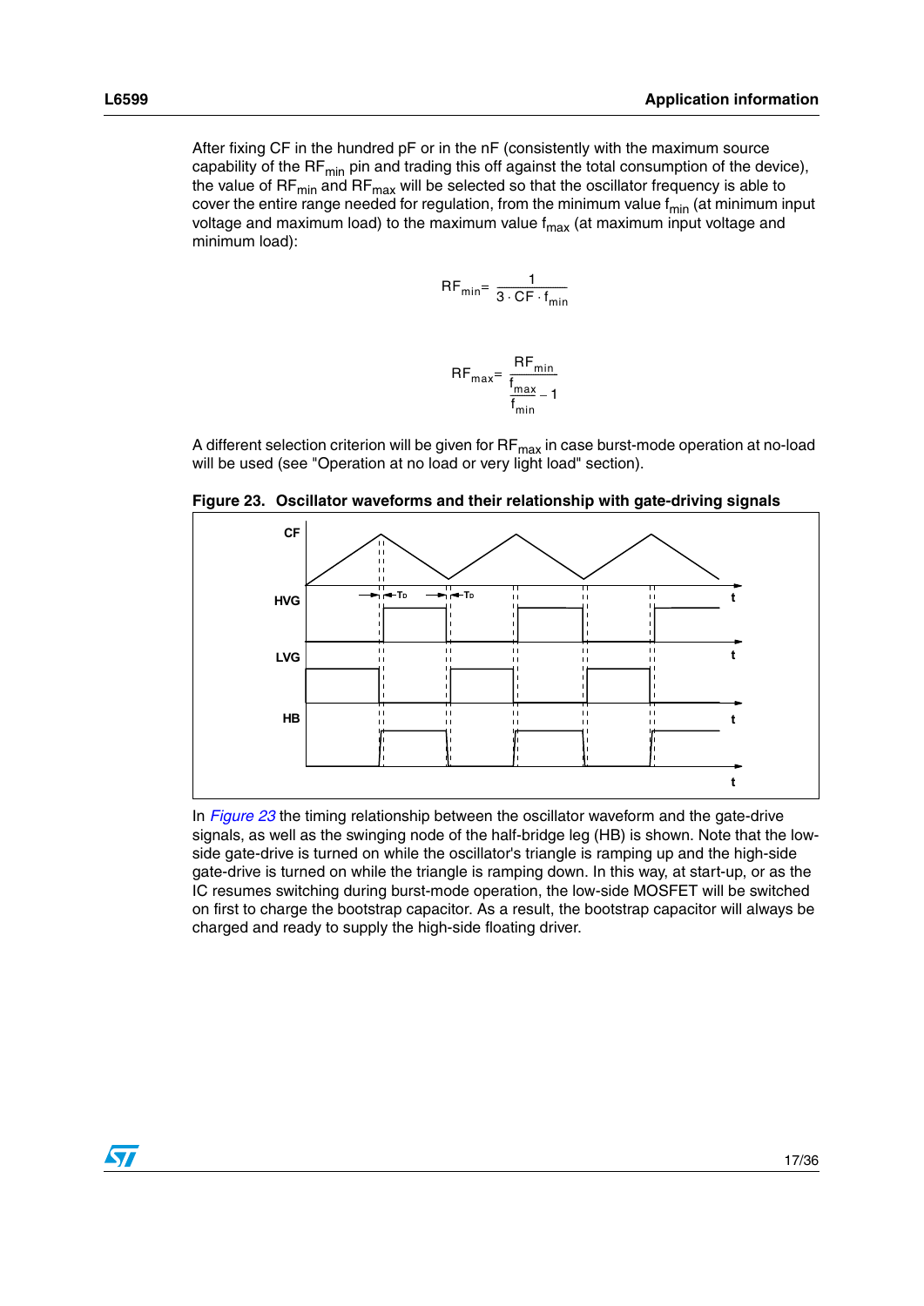After fixing CF in the hundred pF or in the nF (consistently with the maximum source capability of the RF $_{min}$  pin and trading this off against the total consumption of the device), the value of  $RF_{min}$  and  $RF_{max}$  will be selected so that the oscillator frequency is able to cover the entire range needed for regulation, from the minimum value  $f_{min}$  (at minimum input voltage and maximum load) to the maximum value  $f_{\text{max}}$  (at maximum input voltage and minimum load):

$$
RF_{\min} = \frac{1}{3 \cdot CF \cdot f_{\min}}
$$

$$
RF_{\text{max}} = \frac{RF_{\text{min}}}{\frac{f_{\text{max}}}{f_{\text{min}}} - 1}
$$

A different selection criterion will be given for RF<sub>max</sub> in case burst-mode operation at no-load will be used (see "Operation at no load or very light load" section).



<span id="page-16-0"></span>**Figure 23. Oscillator waveforms and their relationship with gate-driving signals**

In *[Figure 23](#page-16-0)* the timing relationship between the oscillator waveform and the gate-drive signals, as well as the swinging node of the half-bridge leg (HB) is shown. Note that the lowside gate-drive is turned on while the oscillator's triangle is ramping up and the high-side gate-drive is turned on while the triangle is ramping down. In this way, at start-up, or as the IC resumes switching during burst-mode operation, the low-side MOSFET will be switched on first to charge the bootstrap capacitor. As a result, the bootstrap capacitor will always be charged and ready to supply the high-side floating driver.

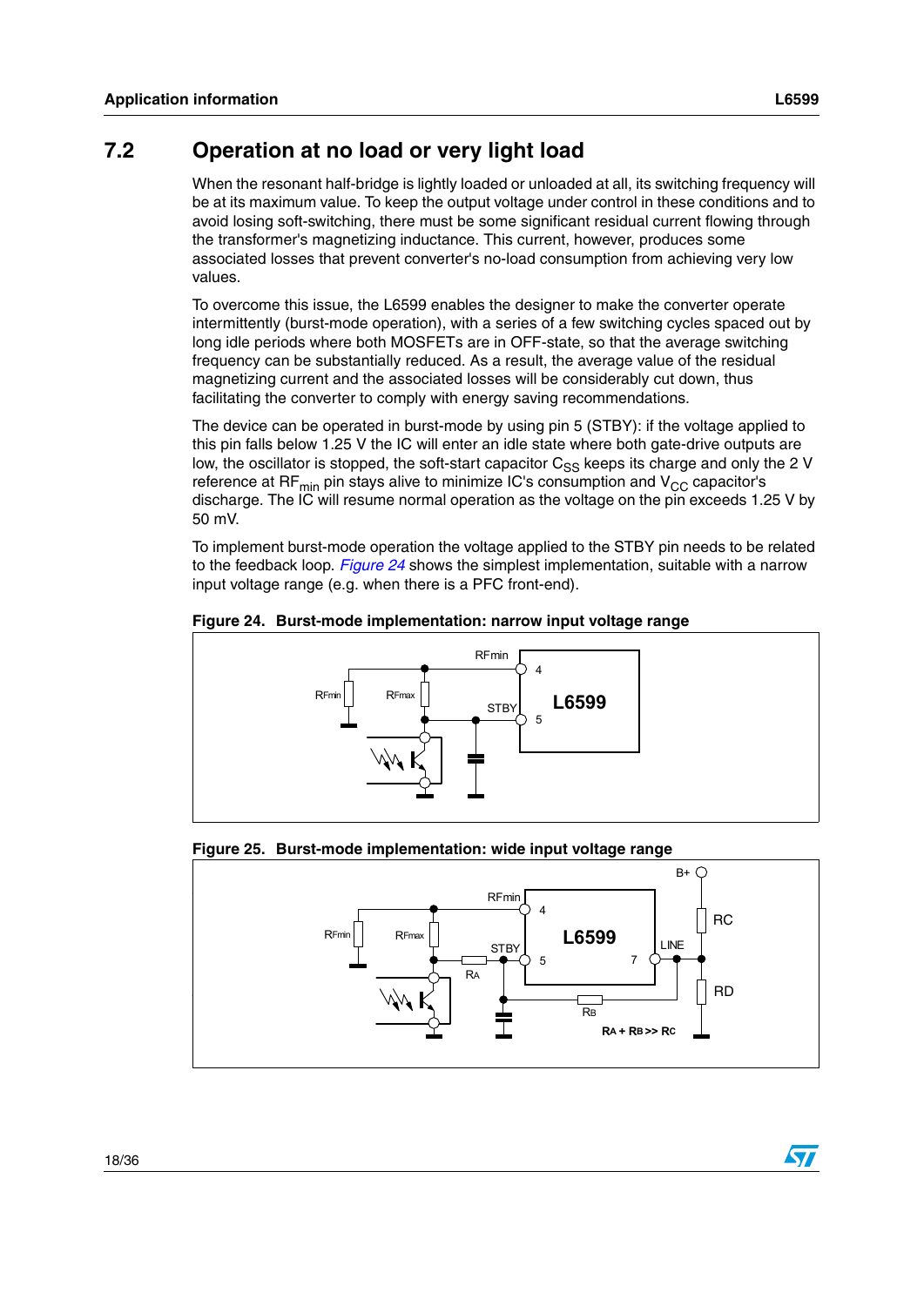### <span id="page-17-0"></span>**7.2 Operation at no load or very light load**

When the resonant half-bridge is lightly loaded or unloaded at all, its switching frequency will be at its maximum value. To keep the output voltage under control in these conditions and to avoid losing soft-switching, there must be some significant residual current flowing through the transformer's magnetizing inductance. This current, however, produces some associated losses that prevent converter's no-load consumption from achieving very low values.

To overcome this issue, the L6599 enables the designer to make the converter operate intermittently (burst-mode operation), with a series of a few switching cycles spaced out by long idle periods where both MOSFETs are in OFF-state, so that the average switching frequency can be substantially reduced. As a result, the average value of the residual magnetizing current and the associated losses will be considerably cut down, thus facilitating the converter to comply with energy saving recommendations.

The device can be operated in burst-mode by using pin 5 (STBY): if the voltage applied to this pin falls below 1.25 V the IC will enter an idle state where both gate-drive outputs are low, the oscillator is stopped, the soft-start capacitor  $C_{SS}$  keeps its charge and only the 2 V reference at RF<sub>min</sub> pin stays alive to minimize IC's consumption and  $V_{CC}$  capacitor's discharge. The IC will resume normal operation as the voltage on the pin exceeds 1.25 V by 50 mV.

To implement burst-mode operation the voltage applied to the STBY pin needs to be related to the feedback loop. *[Figure 24](#page-17-1)* shows the simplest implementation, suitable with a narrow input voltage range (e.g. when there is a PFC front-end).

<span id="page-17-1"></span>



### **Figure 25. Burst-mode implementation: wide input voltage range**



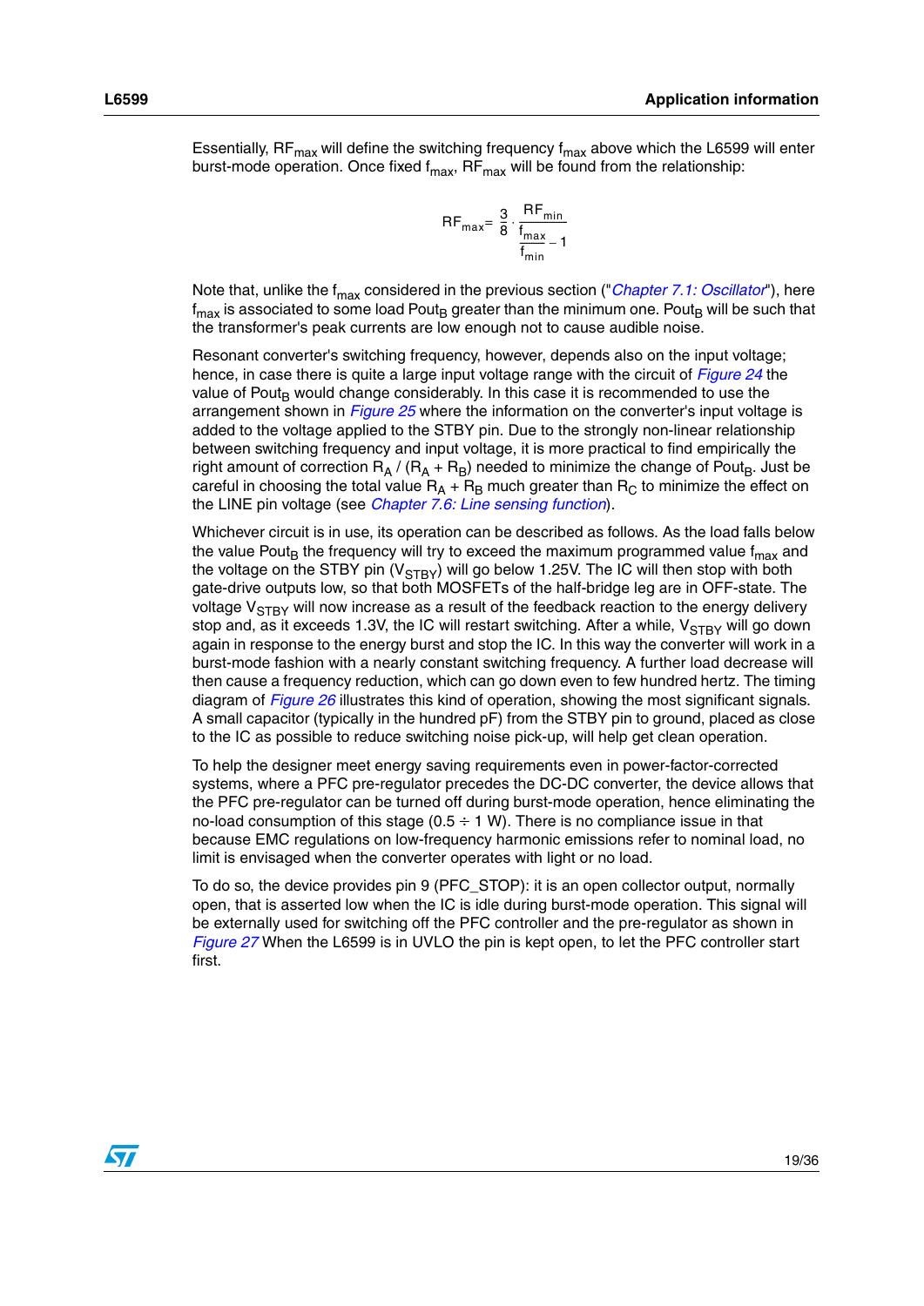Essentially, RF $_{max}$  will define the switching frequency  $f_{max}$  above which the L6599 will enter burst-mode operation. Once fixed  $f_{max}$ , RF $_{max}$  will be found from the relationship:

$$
RF_{max} = \frac{3}{8} \cdot \frac{RF_{min}}{f_{min}} - 1
$$

Note that, unlike the f<sub>max</sub> considered in the previous section ("*[Chapter 7.1: Oscillator](#page-15-0)*"), here  $f_{\text{max}}$  is associated to some load Pout<sub>B</sub> greater than the minimum one. Pout<sub>B</sub> will be such that the transformer's peak currents are low enough not to cause audible noise.

Resonant converter's switching frequency, however, depends also on the input voltage; hence, in case there is quite a large input voltage range with the circuit of *[Figure 24](#page-17-1)* the value of Pout<sub>B</sub> would change considerably. In this case it is recommended to use the arrangement shown in *Figure 25* where the information on the converter's input voltage is added to the voltage applied to the STBY pin. Due to the strongly non-linear relationship between switching frequency and input voltage, it is more practical to find empirically the right amount of correction  $R_A / (R_A + R_B)$  needed to minimize the change of Pout<sub>B</sub>. Just be careful in choosing the total value  $R_A + R_B$  much greater than  $R_C$  to minimize the effect on the LINE pin voltage (see *[Chapter 7.6: Line sensing function](#page-26-1)*).

Whichever circuit is in use, its operation can be described as follows. As the load falls below the value Pout<sub>B</sub> the frequency will try to exceed the maximum programmed value  $f_{\text{max}}$  and the voltage on the STBY pin  $(V_{STBY})$  will go below 1.25V. The IC will then stop with both gate-drive outputs low, so that both MOSFETs of the half-bridge leg are in OFF-state. The voltage  $V_{\text{STBY}}$  will now increase as a result of the feedback reaction to the energy delivery stop and, as it exceeds 1.3V, the IC will restart switching. After a while,  $V_{STBY}$  will go down again in response to the energy burst and stop the IC. In this way the converter will work in a burst-mode fashion with a nearly constant switching frequency. A further load decrease will then cause a frequency reduction, which can go down even to few hundred hertz. The timing diagram of *[Figure 26](#page-19-0)* illustrates this kind of operation, showing the most significant signals. A small capacitor (typically in the hundred pF) from the STBY pin to ground, placed as close to the IC as possible to reduce switching noise pick-up, will help get clean operation.

To help the designer meet energy saving requirements even in power-factor-corrected systems, where a PFC pre-regulator precedes the DC-DC converter, the device allows that the PFC pre-regulator can be turned off during burst-mode operation, hence eliminating the no-load consumption of this stage ( $0.5 \div 1$  W). There is no compliance issue in that because EMC regulations on low-frequency harmonic emissions refer to nominal load, no limit is envisaged when the converter operates with light or no load.

To do so, the device provides pin 9 (PFC\_STOP): it is an open collector output, normally open, that is asserted low when the IC is idle during burst-mode operation. This signal will be externally used for switching off the PFC controller and the pre-regulator as shown in *[Figure 27](#page-19-1)* When the L6599 is in UVLO the pin is kept open, to let the PFC controller start first.

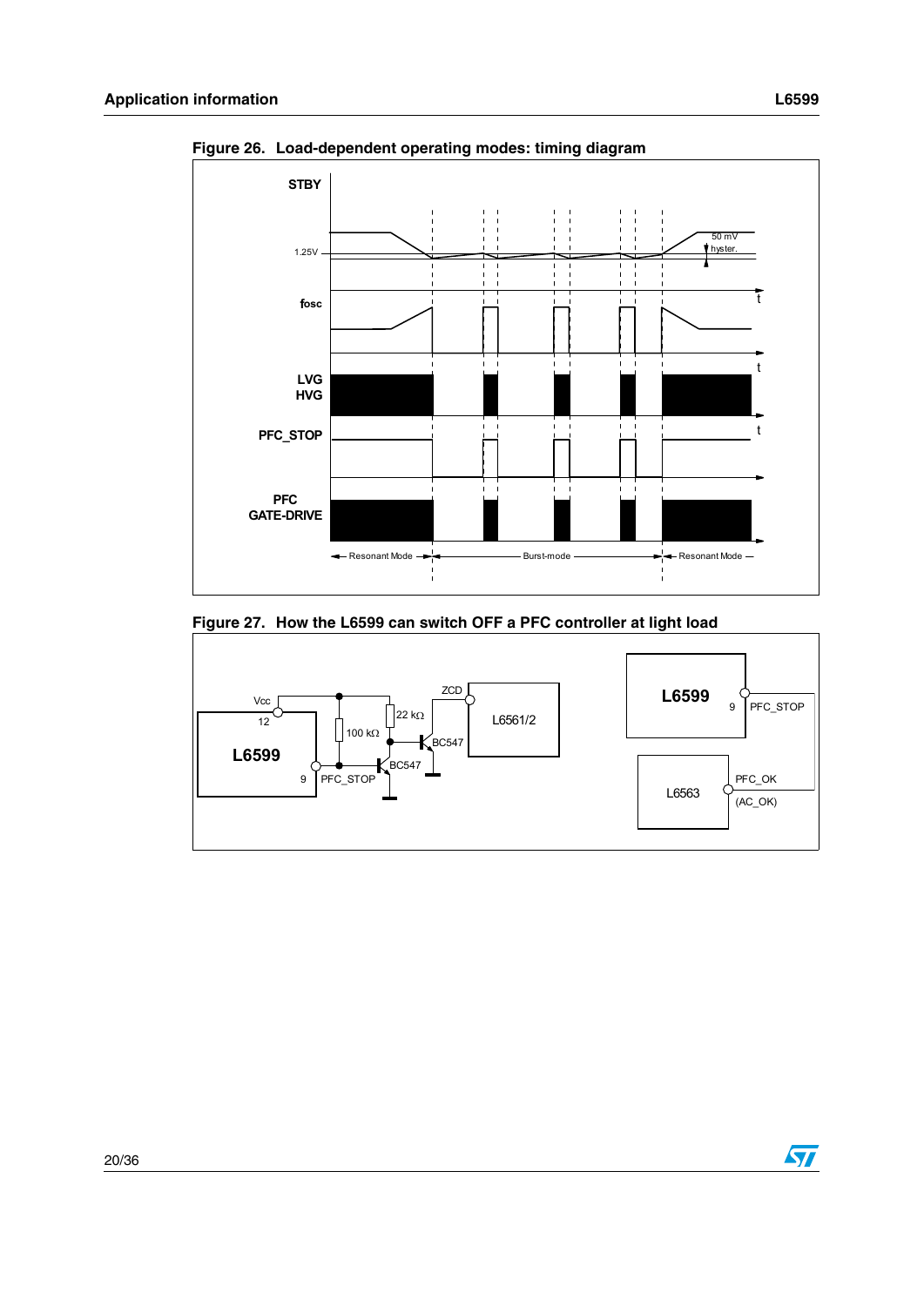

<span id="page-19-0"></span>**Figure 26. Load-dependent operating modes: timing diagram**

#### <span id="page-19-1"></span>**Figure 27. How the L6599 can switch OFF a PFC controller at light load**

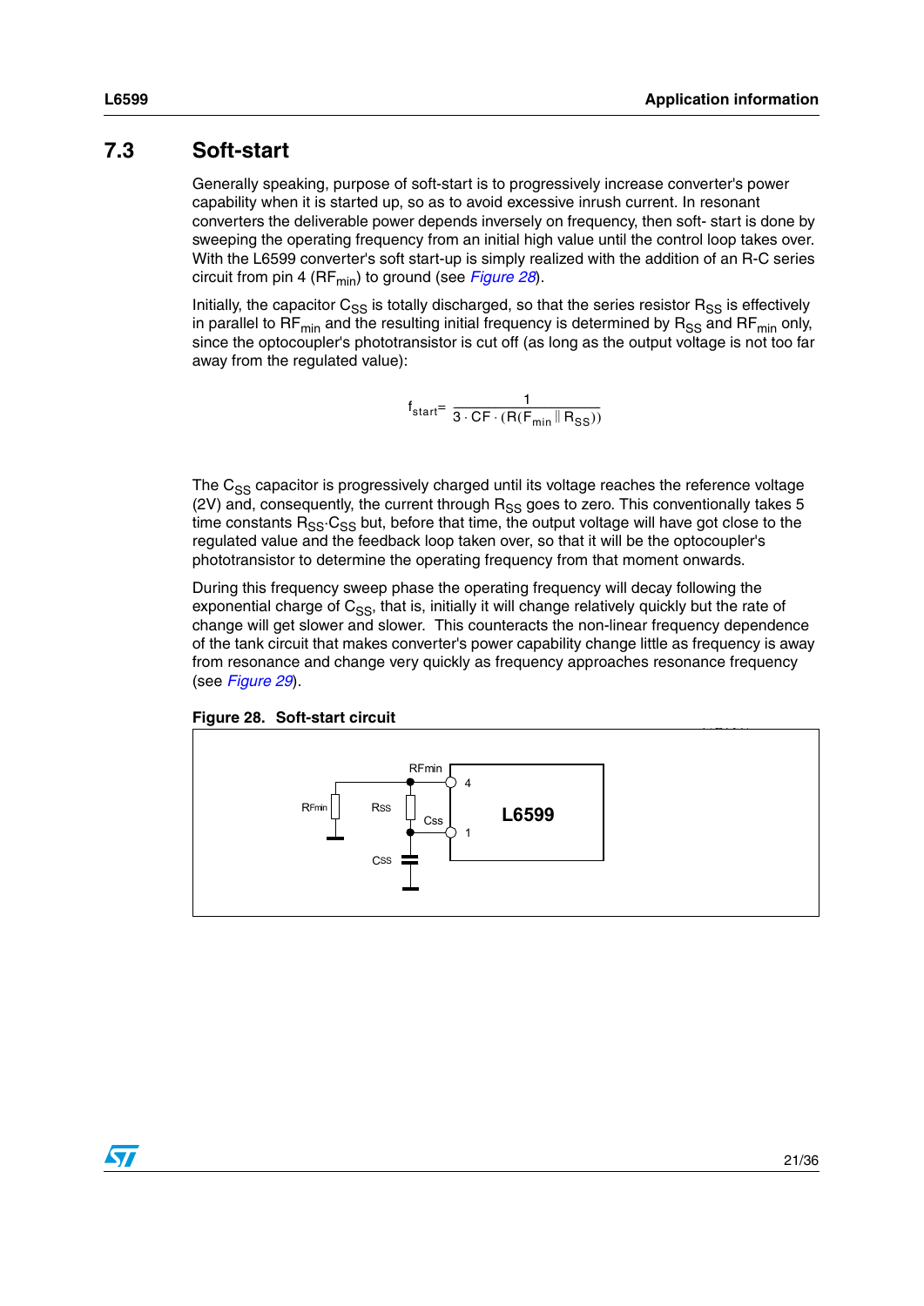### <span id="page-20-0"></span>**7.3 Soft-start**

Generally speaking, purpose of soft-start is to progressively increase converter's power capability when it is started up, so as to avoid excessive inrush current. In resonant converters the deliverable power depends inversely on frequency, then soft- start is done by sweeping the operating frequency from an initial high value until the control loop takes over. With the L6599 converter's soft start-up is simply realized with the addition of an R-C series circuit from pin 4 (RF<sub>min</sub>) to ground (see *[Figure 28](#page-20-1)*).

Initially, the capacitor  $C_{SS}$  is totally discharged, so that the series resistor  $R_{SS}$  is effectively in parallel to RF<sub>min</sub> and the resulting initial frequency is determined by  $R_{SS}$  and RF<sub>min</sub> only, since the optocoupler's phototransistor is cut off (as long as the output voltage is not too far away from the regulated value):

$$
f_{start} = \frac{1}{3 \cdot CF \cdot (R(F_{min} \parallel R_{SS}))}
$$

The C<sub>SS</sub> capacitor is progressively charged until its voltage reaches the reference voltage (2V) and, consequently, the current through  $R_{SS}$  goes to zero. This conventionally takes 5 time constants  $R_{SS} \cdot C_{SS}$  but, before that time, the output voltage will have got close to the regulated value and the feedback loop taken over, so that it will be the optocoupler's phototransistor to determine the operating frequency from that moment onwards.

During this frequency sweep phase the operating frequency will decay following the exponential charge of  $C_{SS}$ , that is, initially it will change relatively quickly but the rate of change will get slower and slower. This counteracts the non-linear frequency dependence of the tank circuit that makes converter's power capability change little as frequency is away from resonance and change very quickly as frequency approaches resonance frequency (see *[Figure 29](#page-21-0)*).

<span id="page-20-1"></span>**Figure 28. Soft-start circuit**



57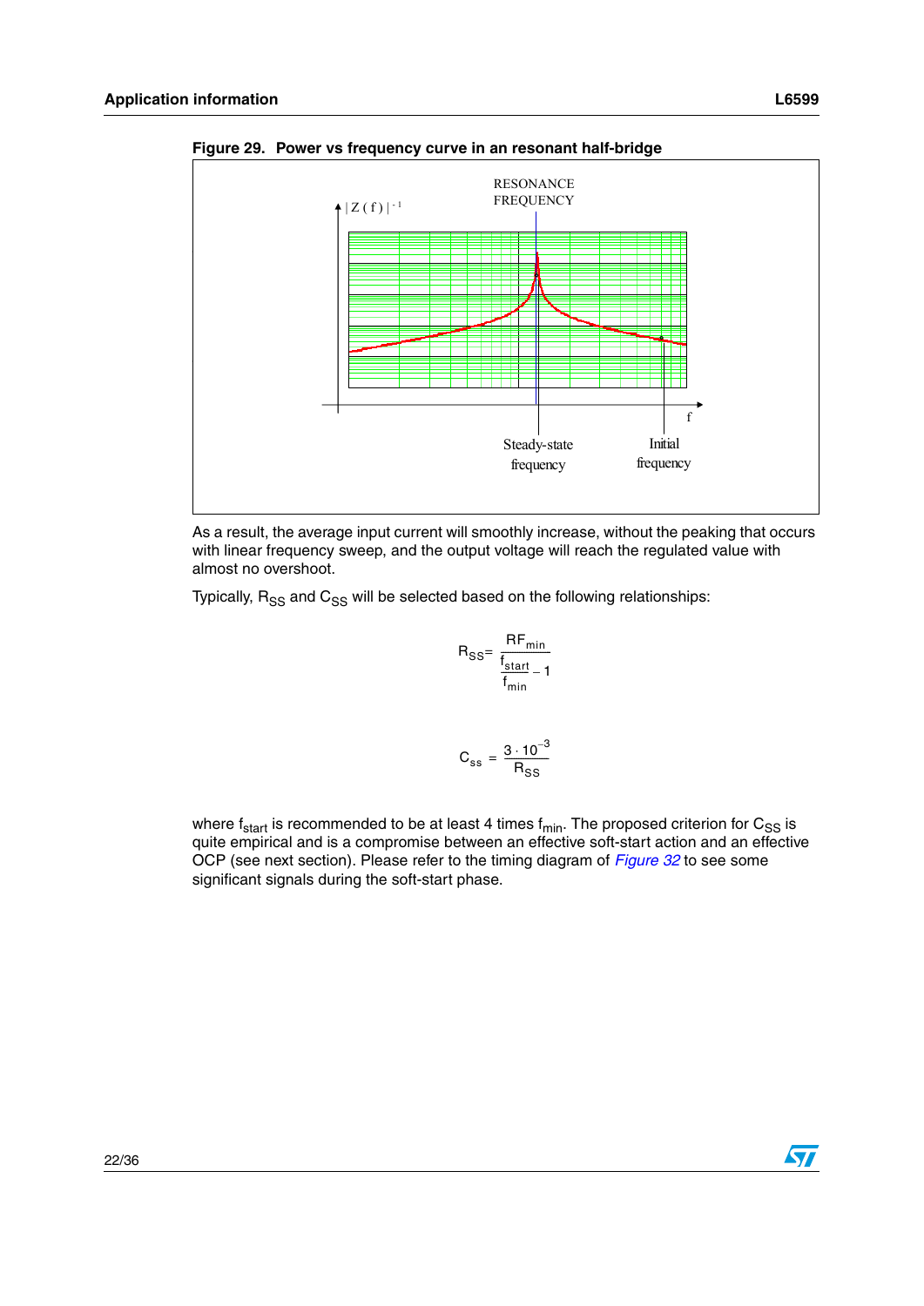

<span id="page-21-0"></span>**Figure 29. Power vs frequency curve in an resonant half-bridge**

As a result, the average input current will smoothly increase, without the peaking that occurs with linear frequency sweep, and the output voltage will reach the regulated value with almost no overshoot.

Typically,  $R_{SS}$  and  $C_{SS}$  will be selected based on the following relationships:

$$
R_{SS} = \frac{RF_{min}}{\frac{f_{start}}{f_{min}} - 1}
$$

$$
C_{ss} = \frac{3 \cdot 10^{-3}}{R_{SS}}
$$

where  $f_{start}$  is recommended to be at least 4 times  $f_{min}$ . The proposed criterion for  $C_{SS}$  is quite empirical and is a compromise between an effective soft-start action and an effective OCP (see next section). Please refer to the timing diagram of *[Figure 32](#page-25-0)* to see some significant signals during the soft-start phase.

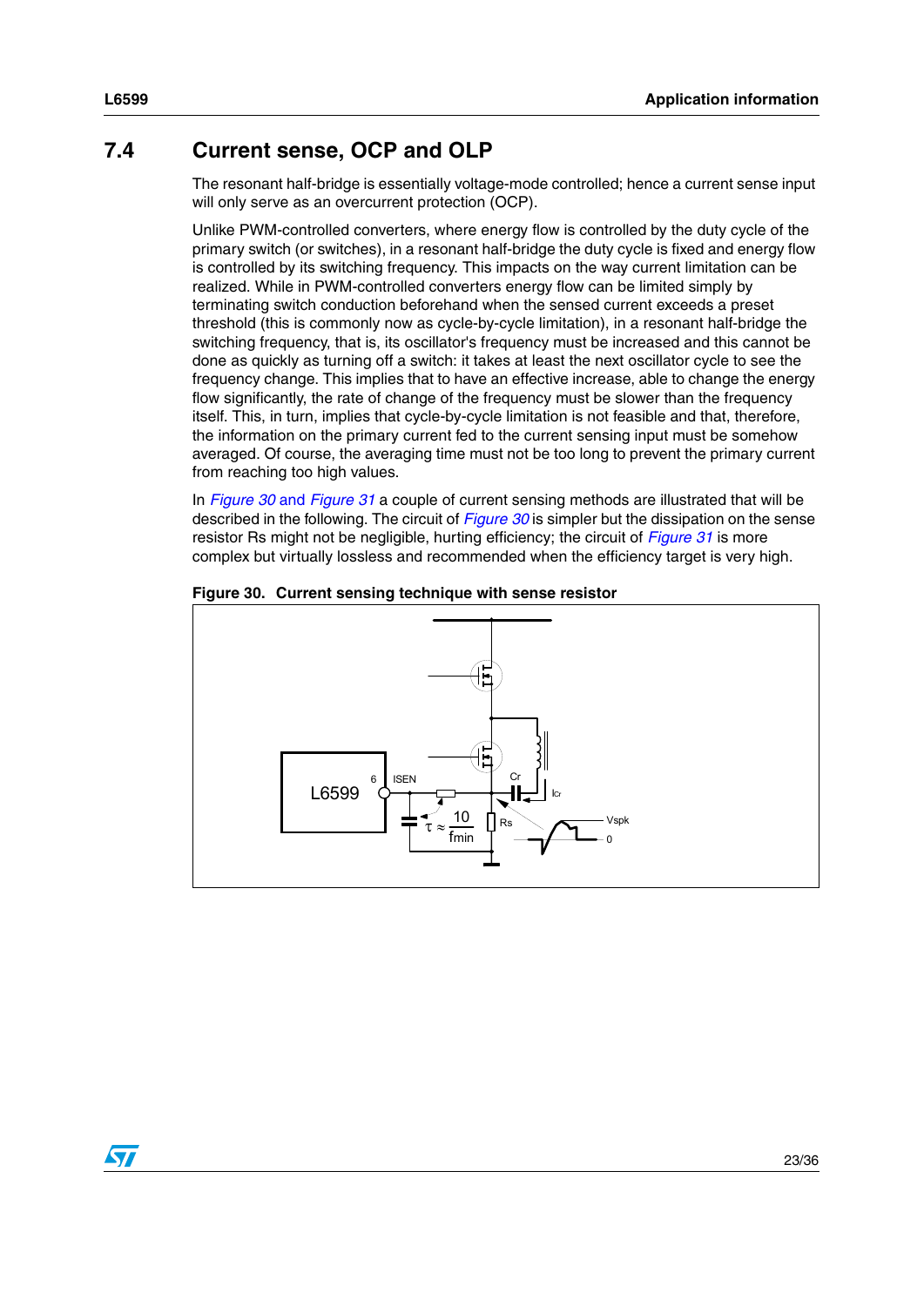### <span id="page-22-0"></span>**7.4 Current sense, OCP and OLP**

The resonant half-bridge is essentially voltage-mode controlled; hence a current sense input will only serve as an overcurrent protection (OCP).

Unlike PWM-controlled converters, where energy flow is controlled by the duty cycle of the primary switch (or switches), in a resonant half-bridge the duty cycle is fixed and energy flow is controlled by its switching frequency. This impacts on the way current limitation can be realized. While in PWM-controlled converters energy flow can be limited simply by terminating switch conduction beforehand when the sensed current exceeds a preset threshold (this is commonly now as cycle-by-cycle limitation), in a resonant half-bridge the switching frequency, that is, its oscillator's frequency must be increased and this cannot be done as quickly as turning off a switch: it takes at least the next oscillator cycle to see the frequency change. This implies that to have an effective increase, able to change the energy flow significantly, the rate of change of the frequency must be slower than the frequency itself. This, in turn, implies that cycle-by-cycle limitation is not feasible and that, therefore, the information on the primary current fed to the current sensing input must be somehow averaged. Of course, the averaging time must not be too long to prevent the primary current from reaching too high values.

In *Figure 30* and *Figure 31* a couple of current sensing methods are illustrated that will be described in the following. The circuit of *Figure 30* is simpler but the dissipation on the sense resistor Rs might not be negligible, hurting efficiency; the circuit of *Figure 31* is more complex but virtually lossless and recommended when the efficiency target is very high.



#### **Figure 30. Current sensing technique with sense resistor**

 $\sqrt{}$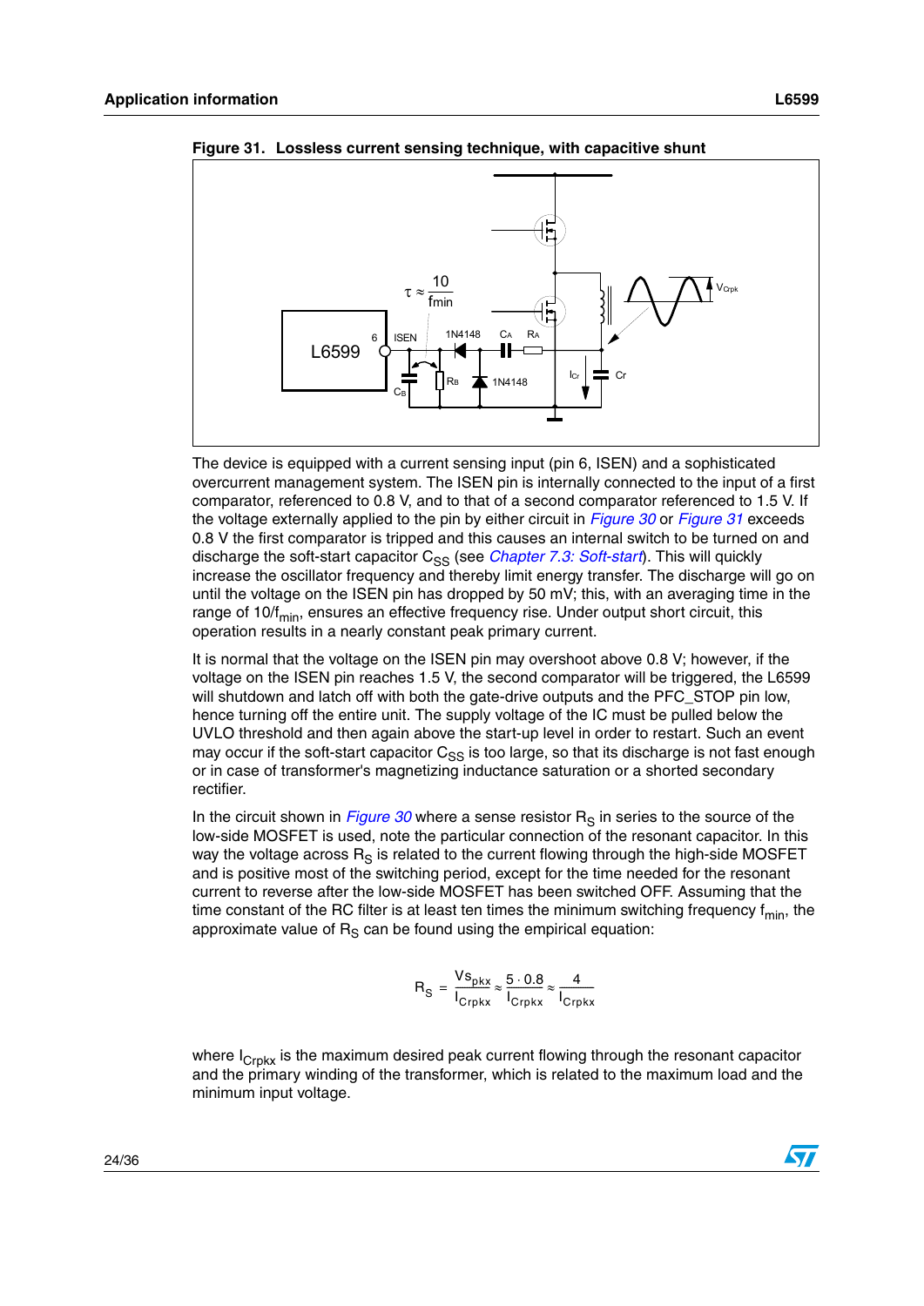

**Figure 31. Lossless current sensing technique, with capacitive shunt**

The device is equipped with a current sensing input (pin 6, ISEN) and a sophisticated overcurrent management system. The ISEN pin is internally connected to the input of a first comparator, referenced to 0.8 V, and to that of a second comparator referenced to 1.5 V. If the voltage externally applied to the pin by either circuit in *Figure 30* or *Figure 31* exceeds 0.8 V the first comparator is tripped and this causes an internal switch to be turned on and discharge the soft-start capacitor C<sub>SS</sub> (see *[Chapter 7.3: Soft-start](#page-20-0)*). This will quickly increase the oscillator frequency and thereby limit energy transfer. The discharge will go on until the voltage on the ISEN pin has dropped by 50 mV; this, with an averaging time in the range of 10/f<sub>min</sub>, ensures an effective frequency rise. Under output short circuit, this operation results in a nearly constant peak primary current.

It is normal that the voltage on the ISEN pin may overshoot above 0.8 V; however, if the voltage on the ISEN pin reaches 1.5 V, the second comparator will be triggered, the L6599 will shutdown and latch off with both the gate-drive outputs and the PFC STOP pin low. hence turning off the entire unit. The supply voltage of the IC must be pulled below the UVLO threshold and then again above the start-up level in order to restart. Such an event may occur if the soft-start capacitor  $C_{SS}$  is too large, so that its discharge is not fast enough or in case of transformer's magnetizing inductance saturation or a shorted secondary rectifier.

In the circuit shown in *Figure 30* where a sense resistor  $R<sub>S</sub>$  in series to the source of the low-side MOSFET is used, note the particular connection of the resonant capacitor. In this way the voltage across  $R_S$  is related to the current flowing through the high-side MOSFET and is positive most of the switching period, except for the time needed for the resonant current to reverse after the low-side MOSFET has been switched OFF. Assuming that the time constant of the RC filter is at least ten times the minimum switching frequency  $f_{min}$ , the approximate value of  $R<sub>S</sub>$  can be found using the empirical equation:

$$
R_{\rm S} = \frac{V s_{\rm pkx}}{I_{\rm Crpkx}} \approx \frac{5 \cdot 0.8}{I_{\rm Crpkx}} \approx \frac{4}{I_{\rm Crpkx}}
$$

where  $I_{Crokx}$  is the maximum desired peak current flowing through the resonant capacitor and the primary winding of the transformer, which is related to the maximum load and the minimum input voltage.

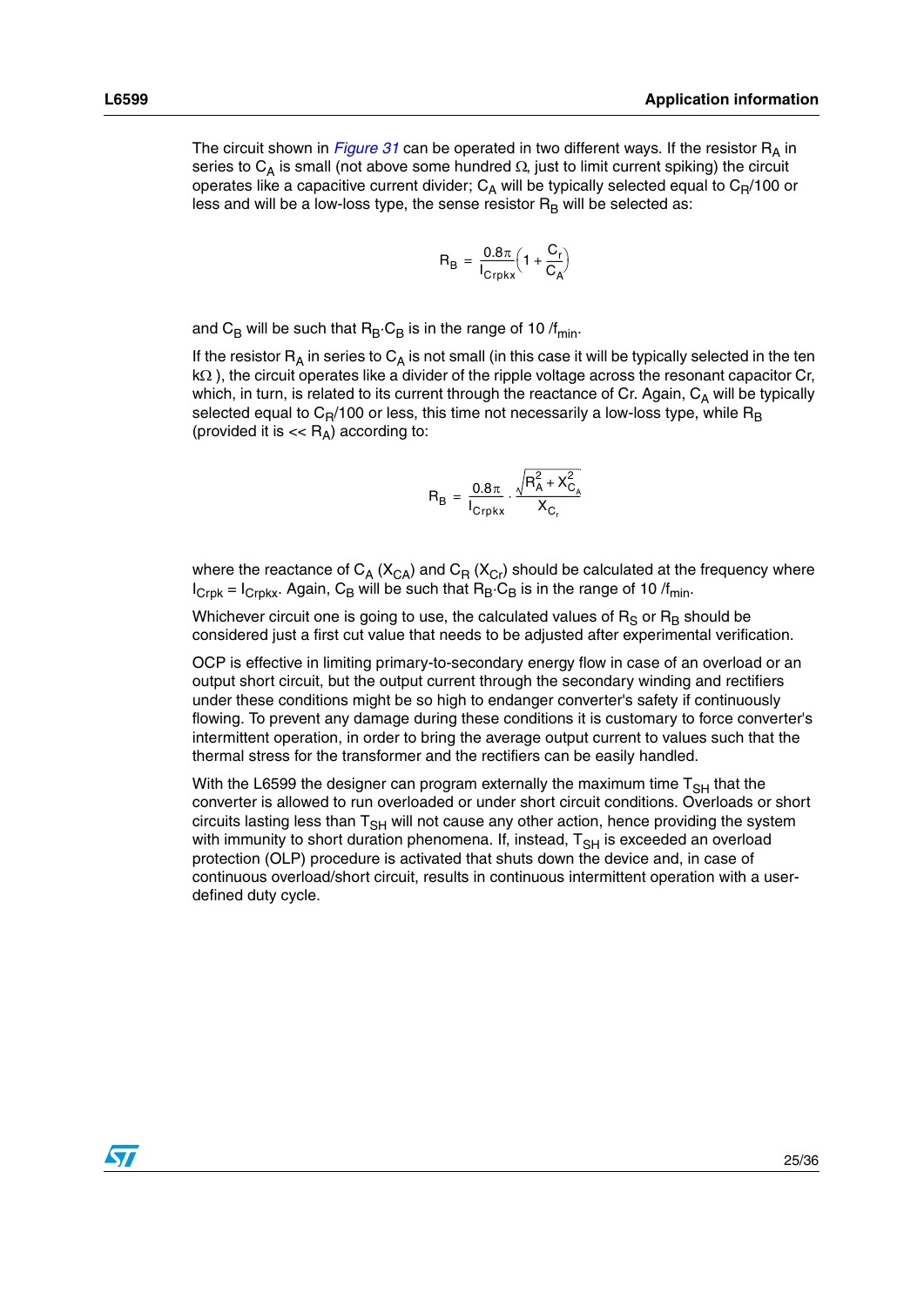The circuit shown in *Figure 31* can be operated in two different ways. If the resistor  $R_A$  in series to  $C_A$  is small (not above some hundred  $\Omega$ , just to limit current spiking) the circuit operates like a capacitive current divider;  $C_A$  will be typically selected equal to  $C_R/100$  or less and will be a low-loss type, the sense resistor  $R_B$  will be selected as:

$$
R_B = \frac{0.8\pi}{I_{Crpkx}} \left( 1 + \frac{C_r}{C_A} \right)
$$

and C<sub>B</sub> will be such that  $R_B \cdot C_B$  is in the range of 10 /f<sub>min</sub>.

If the resistor  $R_A$  in series to  $C_A$  is not small (in this case it will be typically selected in the ten kΩ ), the circuit operates like a divider of the ripple voltage across the resonant capacitor Cr, which, in turn, is related to its current through the reactance of Cr. Again,  $C_A$  will be typically selected equal to  $C_R/100$  or less, this time not necessarily a low-loss type, while  $R_B$ (provided it is  $<<$   $R_A$ ) according to:

$$
R_B = \frac{0.8\pi}{I_{Crpkx}} \cdot \frac{\sqrt{R_A^2 + X_{C_A}^2}}{X_{C_r}}
$$

where the reactance of  $C_A$  ( $X_{CA}$ ) and  $C_R$  ( $X_{Cr}$ ) should be calculated at the frequency where  $I_{Crpk} = I_{Crpkx}$ . Again, C<sub>B</sub> will be such that  $R_B \cdot C_B$  is in the range of 10 /f<sub>min</sub>.

Whichever circuit one is going to use, the calculated values of  $R_S$  or  $R_B$  should be considered just a first cut value that needs to be adjusted after experimental verification.

OCP is effective in limiting primary-to-secondary energy flow in case of an overload or an output short circuit, but the output current through the secondary winding and rectifiers under these conditions might be so high to endanger converter's safety if continuously flowing. To prevent any damage during these conditions it is customary to force converter's intermittent operation, in order to bring the average output current to values such that the thermal stress for the transformer and the rectifiers can be easily handled.

With the L6599 the designer can program externally the maximum time  $T_{SH}$  that the converter is allowed to run overloaded or under short circuit conditions. Overloads or short circuits lasting less than  $T<sub>SH</sub>$  will not cause any other action, hence providing the system with immunity to short duration phenomena. If, instead,  $T<sub>SH</sub>$  is exceeded an overload protection (OLP) procedure is activated that shuts down the device and, in case of continuous overload/short circuit, results in continuous intermittent operation with a userdefined duty cycle.

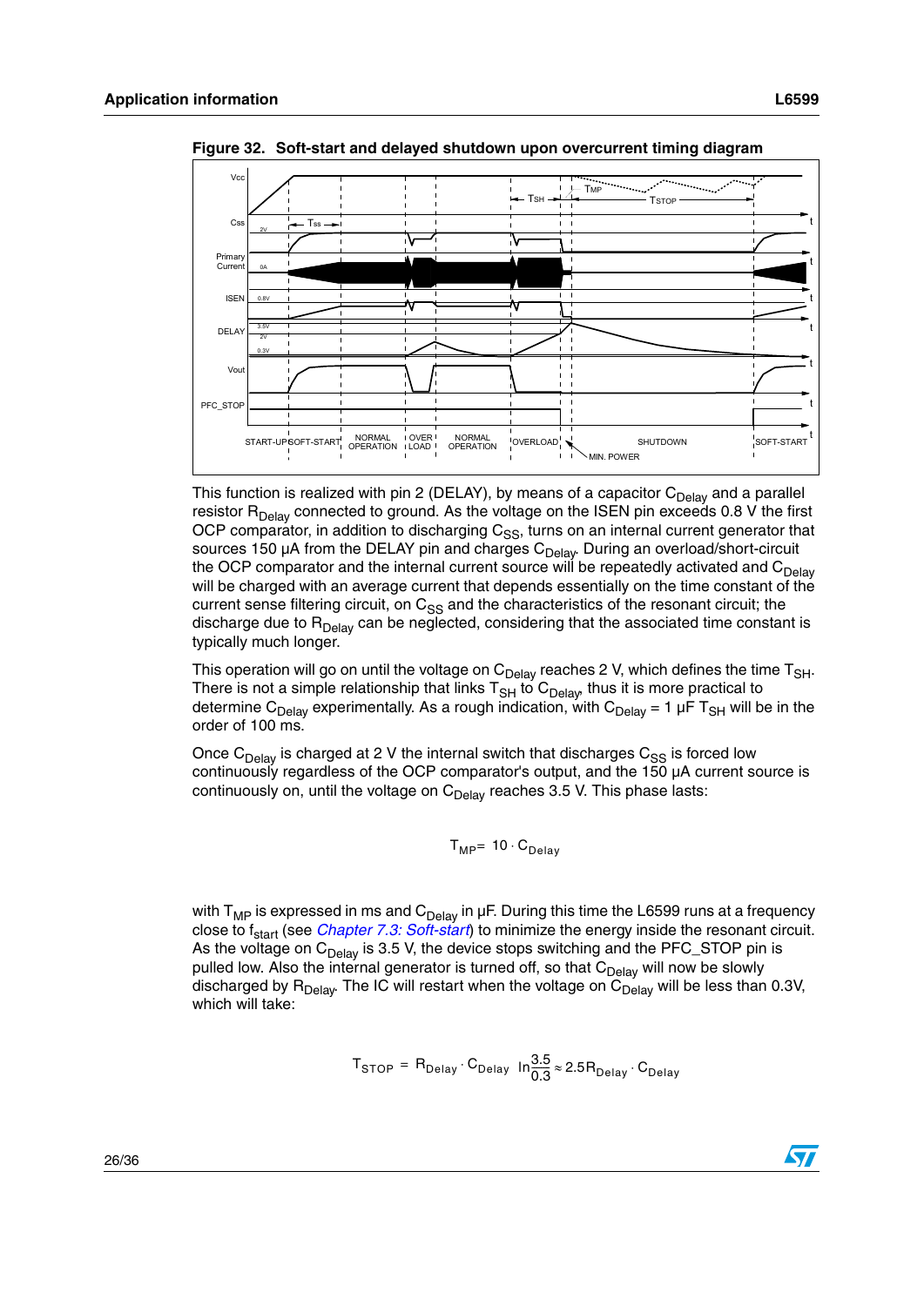

<span id="page-25-0"></span>**Figure 32. Soft-start and delayed shutdown upon overcurrent timing diagram**

This function is realized with pin 2 (DELAY), by means of a capacitor  $C_{Delay}$  and a parallel resistor  $R_{Delay}$  connected to ground. As the voltage on the ISEN pin exceeds 0.8 V the first OCP comparator, in addition to discharging  $C_{SS}$ , turns on an internal current generator that sources 150  $\mu$ A from the DELAY pin and charges  $C_{\text{Delay}}$ . During an overload/short-circuit the OCP comparator and the internal current source will be repeatedly activated and  $C_{\text{Delay}}$ will be charged with an average current that depends essentially on the time constant of the current sense filtering circuit, on  $C_{SS}$  and the characteristics of the resonant circuit; the discharge due to  $R_{Delay}$  can be neglected, considering that the associated time constant is typically much longer.

This operation will go on until the voltage on  $C_{Delay}$  reaches 2 V, which defines the time  $T_{SH}$ . There is not a simple relationship that links  $T_{SH}$  to  $C_{Delay}$  thus it is more practical to determine C<sub>Delay</sub> experimentally. As a rough indication, with C<sub>Delay</sub> = 1 µF T<sub>SH</sub> will be in the order of 100 ms.

Once  $C_{\text{Delay}}$  is charged at 2 V the internal switch that discharges  $C_{SS}$  is forced low continuously regardless of the OCP comparator's output, and the 150 µA current source is continuously on, until the voltage on  $C_{Delay}$  reaches 3.5 V. This phase lasts:

$$
T_{MP} = 10 \cdot C_{Delay}
$$

with  $T_{MP}$  is expressed in ms and  $C_{Delay}$  in  $\mu$ F. During this time the L6599 runs at a frequency close to f<sub>start</sub> (see *[Chapter 7.3: Soft-start](#page-20-0)*) to minimize the energy inside the resonant circuit. As the voltage on  $C_{Delay}$  is 3.5 V, the device stops switching and the PFC\_STOP pin is pulled low. Also the internal generator is turned off, so that  $C_{Delay}$  will now be slowly discharged by  $R_{Delay}$ . The IC will restart when the voltage on  $C_{Delay}$  will be less than 0.3V, which will take:

$$
T_{STOP} = R_{Delay} \cdot C_{Delay} \ln \frac{3.5}{0.3} \approx 2.5 R_{Delay} \cdot C_{Delay}
$$

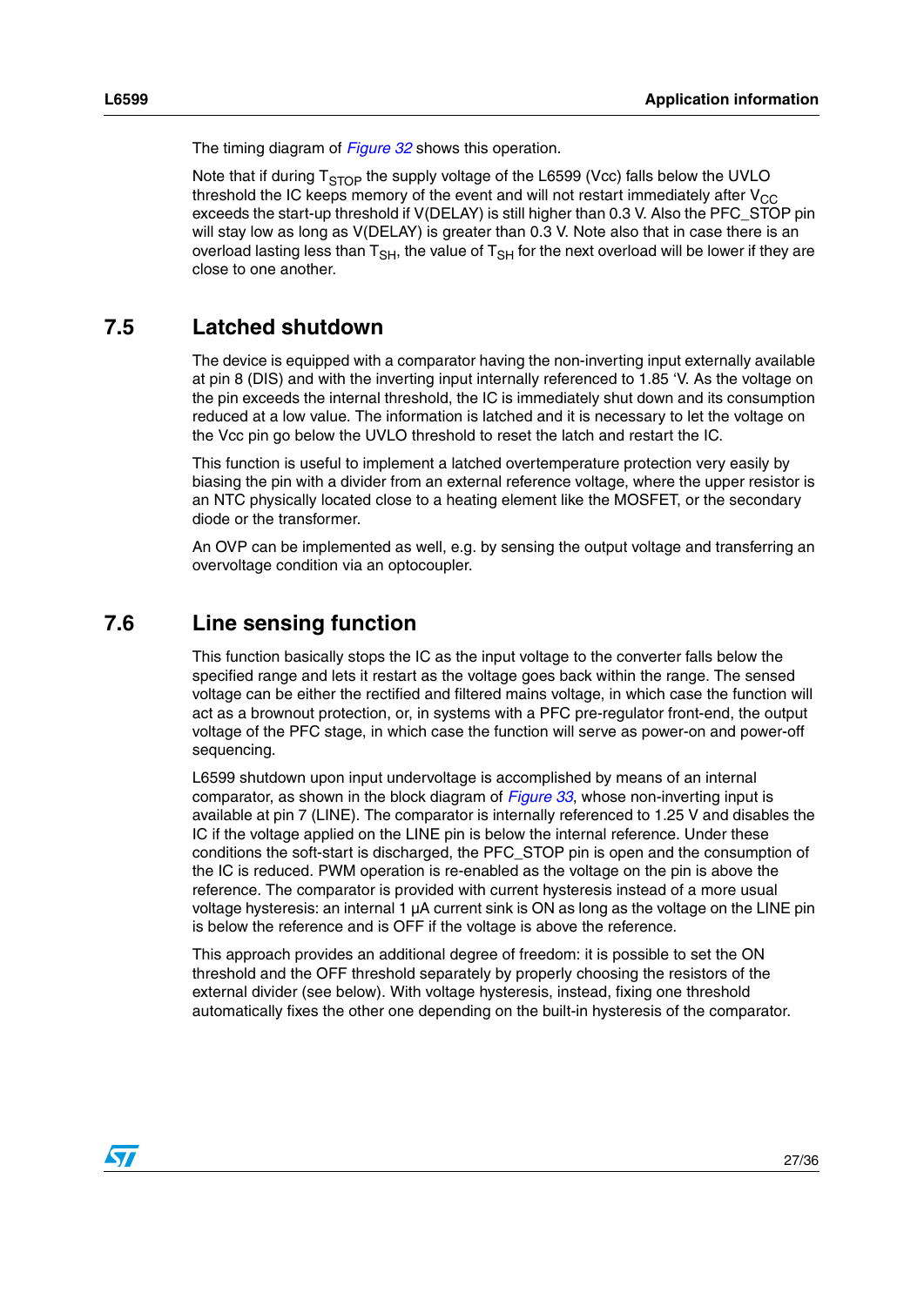The timing diagram of *[Figure 32](#page-25-0)* shows this operation.

Note that if during  $T<sub>STOP</sub>$  the supply voltage of the L6599 (Vcc) falls below the UVLO threshold the IC keeps memory of the event and will not restart immediately after  $V_{CC}$ exceeds the start-up threshold if V(DELAY) is still higher than 0.3 V. Also the PFC\_STOP pin will stay low as long as V(DELAY) is greater than 0.3 V. Note also that in case there is an overload lasting less than  $T_{\rm SH}$ , the value of  $T_{\rm SH}$  for the next overload will be lower if they are close to one another.

### <span id="page-26-0"></span>**7.5 Latched shutdown**

The device is equipped with a comparator having the non-inverting input externally available at pin 8 (DIS) and with the inverting input internally referenced to 1.85 'V. As the voltage on the pin exceeds the internal threshold, the IC is immediately shut down and its consumption reduced at a low value. The information is latched and it is necessary to let the voltage on the Vcc pin go below the UVLO threshold to reset the latch and restart the IC.

This function is useful to implement a latched overtemperature protection very easily by biasing the pin with a divider from an external reference voltage, where the upper resistor is an NTC physically located close to a heating element like the MOSFET, or the secondary diode or the transformer.

An OVP can be implemented as well, e.g. by sensing the output voltage and transferring an overvoltage condition via an optocoupler.

### <span id="page-26-1"></span>**7.6 Line sensing function**

This function basically stops the IC as the input voltage to the converter falls below the specified range and lets it restart as the voltage goes back within the range. The sensed voltage can be either the rectified and filtered mains voltage, in which case the function will act as a brownout protection, or, in systems with a PFC pre-regulator front-end, the output voltage of the PFC stage, in which case the function will serve as power-on and power-off sequencing.

L6599 shutdown upon input undervoltage is accomplished by means of an internal comparator, as shown in the block diagram of *[Figure 33](#page-27-0)*, whose non-inverting input is available at pin 7 (LINE). The comparator is internally referenced to 1.25 V and disables the IC if the voltage applied on the LINE pin is below the internal reference. Under these conditions the soft-start is discharged, the PFC\_STOP pin is open and the consumption of the IC is reduced. PWM operation is re-enabled as the voltage on the pin is above the reference. The comparator is provided with current hysteresis instead of a more usual voltage hysteresis: an internal 1 µA current sink is ON as long as the voltage on the LINE pin is below the reference and is OFF if the voltage is above the reference.

This approach provides an additional degree of freedom: it is possible to set the ON threshold and the OFF threshold separately by properly choosing the resistors of the external divider (see below). With voltage hysteresis, instead, fixing one threshold automatically fixes the other one depending on the built-in hysteresis of the comparator.

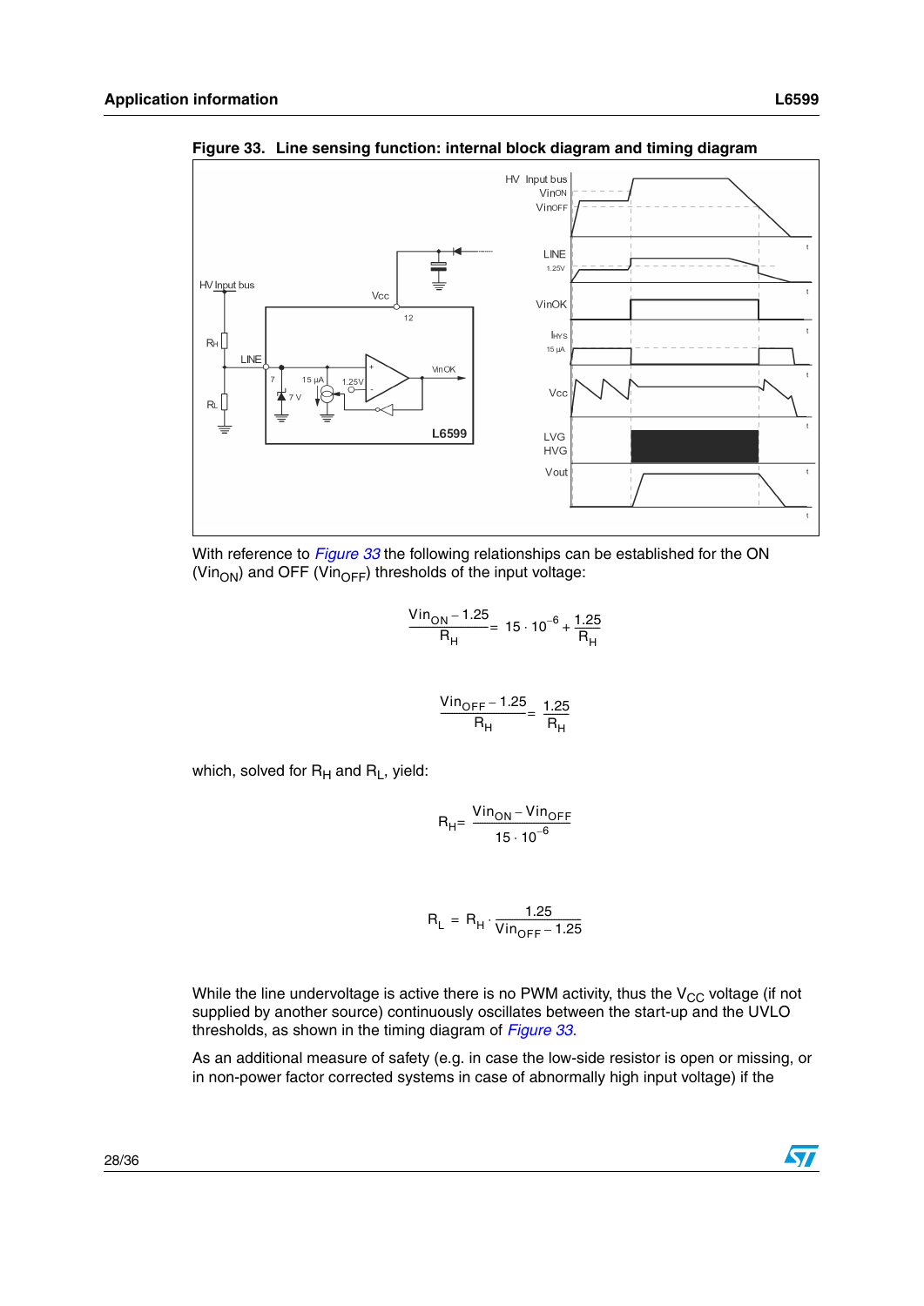

<span id="page-27-0"></span>**Figure 33. Line sensing function: internal block diagram and timing diagram**



$$
\frac{\text{Vin}_{\text{ON}} - 1.25}{\text{R}_{\text{H}}} = 15 \cdot 10^{-6} + \frac{1.25}{\text{R}_{\text{H}}}
$$

$$
\frac{\text{Vin}_{OFF} - 1.25}{R_{H}} = \frac{1.25}{R_{H}}
$$

which, solved for  $R_H$  and  $R_L$ , yield:

$$
R_{H} = \frac{Vin_{ON} - Vin_{OFF}}{15 \cdot 10^{-6}}
$$

$$
R_{L} = R_{H} \cdot \frac{1.25}{\text{Vin}_{OFF} - 1.25}
$$

While the line undervoltage is active there is no PWM activity, thus the  $V_{CC}$  voltage (if not supplied by another source) continuously oscillates between the start-up and the UVLO thresholds, as shown in the timing diagram of *[Figure 33.](#page-27-0)*

As an additional measure of safety (e.g. in case the low-side resistor is open or missing, or in non-power factor corrected systems in case of abnormally high input voltage) if the

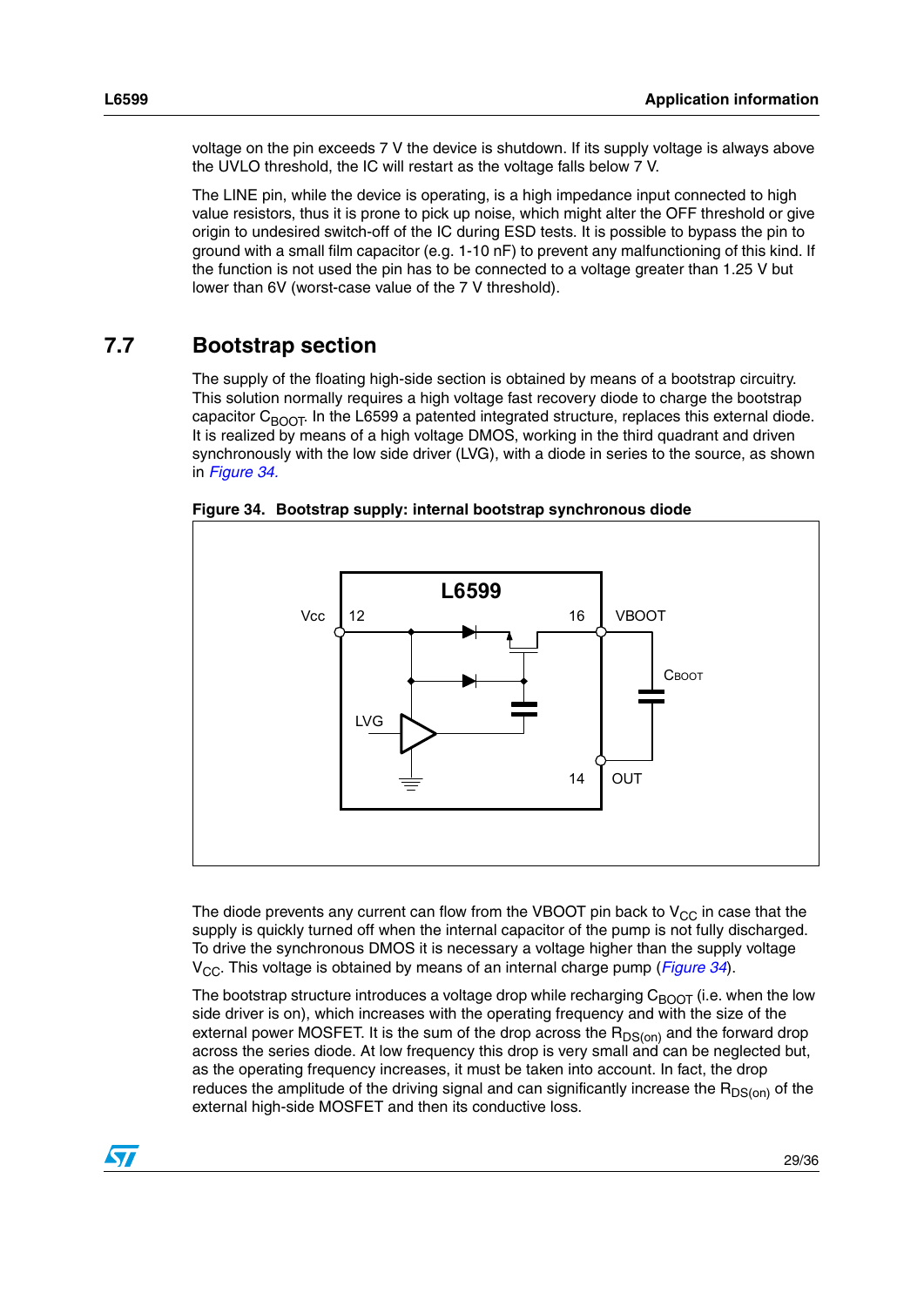voltage on the pin exceeds 7 V the device is shutdown. If its supply voltage is always above the UVLO threshold, the IC will restart as the voltage falls below 7 V.

The LINE pin, while the device is operating, is a high impedance input connected to high value resistors, thus it is prone to pick up noise, which might alter the OFF threshold or give origin to undesired switch-off of the IC during ESD tests. It is possible to bypass the pin to ground with a small film capacitor (e.g. 1-10 nF) to prevent any malfunctioning of this kind. If the function is not used the pin has to be connected to a voltage greater than 1.25 V but lower than 6V (worst-case value of the 7 V threshold).

### <span id="page-28-0"></span>**7.7 Bootstrap section**

The supply of the floating high-side section is obtained by means of a bootstrap circuitry. This solution normally requires a high voltage fast recovery diode to charge the bootstrap capacitor  $C_{B<sub>Q</sub>OT}$ . In the L6599 a patented integrated structure, replaces this external diode. It is realized by means of a high voltage DMOS, working in the third quadrant and driven synchronously with the low side driver (LVG), with a diode in series to the source, as shown in *[Figure 34.](#page-28-1)*



<span id="page-28-1"></span>**Figure 34. Bootstrap supply: internal bootstrap synchronous diode**

The diode prevents any current can flow from the VBOOT pin back to  $V_{CC}$  in case that the supply is quickly turned off when the internal capacitor of the pump is not fully discharged. To drive the synchronous DMOS it is necessary a voltage higher than the supply voltage V<sub>CC</sub>. This voltage is obtained by means of an internal charge pump (*[Figure 34](#page-28-1)*).

The bootstrap structure introduces a voltage drop while recharging  $C_{\text{BOOT}}$  (i.e. when the low side driver is on), which increases with the operating frequency and with the size of the external power MOSFET. It is the sum of the drop across the  $R_{DS(on)}$  and the forward drop across the series diode. At low frequency this drop is very small and can be neglected but, as the operating frequency increases, it must be taken into account. In fact, the drop reduces the amplitude of the driving signal and can significantly increase the  $R_{DS(on)}$  of the external high-side MOSFET and then its conductive loss.

 $\sqrt{}$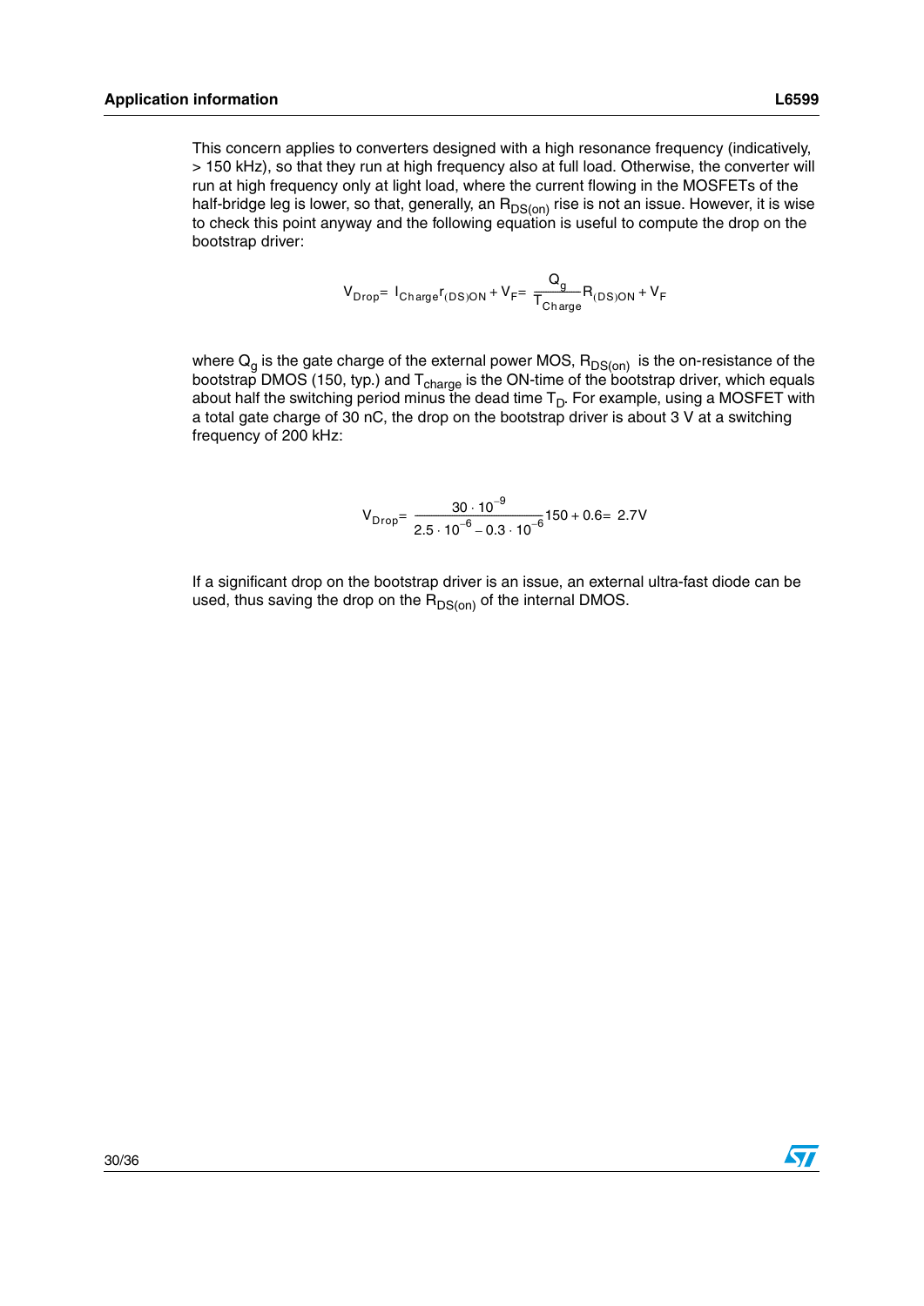This concern applies to converters designed with a high resonance frequency (indicatively, > 150 kHz), so that they run at high frequency also at full load. Otherwise, the converter will run at high frequency only at light load, where the current flowing in the MOSFETs of the half-bridge leg is lower, so that, generally, an  $R_{DS(on)}$  rise is not an issue. However, it is wise to check this point anyway and the following equation is useful to compute the drop on the bootstrap driver:

$$
V_{Drop} = I_{Change}r_{(DS)ON} + V_{F} = \frac{Q_g}{T_{Change}}R_{(DS)ON} + V_{F}
$$

where  $Q<sub>g</sub>$  is the gate charge of the external power MOS,  $R<sub>DS(on)</sub>$  is the on-resistance of the bootstrap DMOS (150, typ.) and  $T_{charge}$  is the ON-time of the bootstrap driver, which equals about half the switching period minus the dead time  $T_D$ . For example, using a MOSFET with a total gate charge of 30 nC, the drop on the bootstrap driver is about 3 V at a switching frequency of 200 kHz:

$$
V_{Drop} = \frac{30 \cdot 10^{-9}}{2.5 \cdot 10^{-6} - 0.3 \cdot 10^{-6}} 150 + 0.6 = 2.7 V
$$

If a significant drop on the bootstrap driver is an issue, an external ultra-fast diode can be used, thus saving the drop on the  $R_{DS(on)}$  of the internal DMOS.

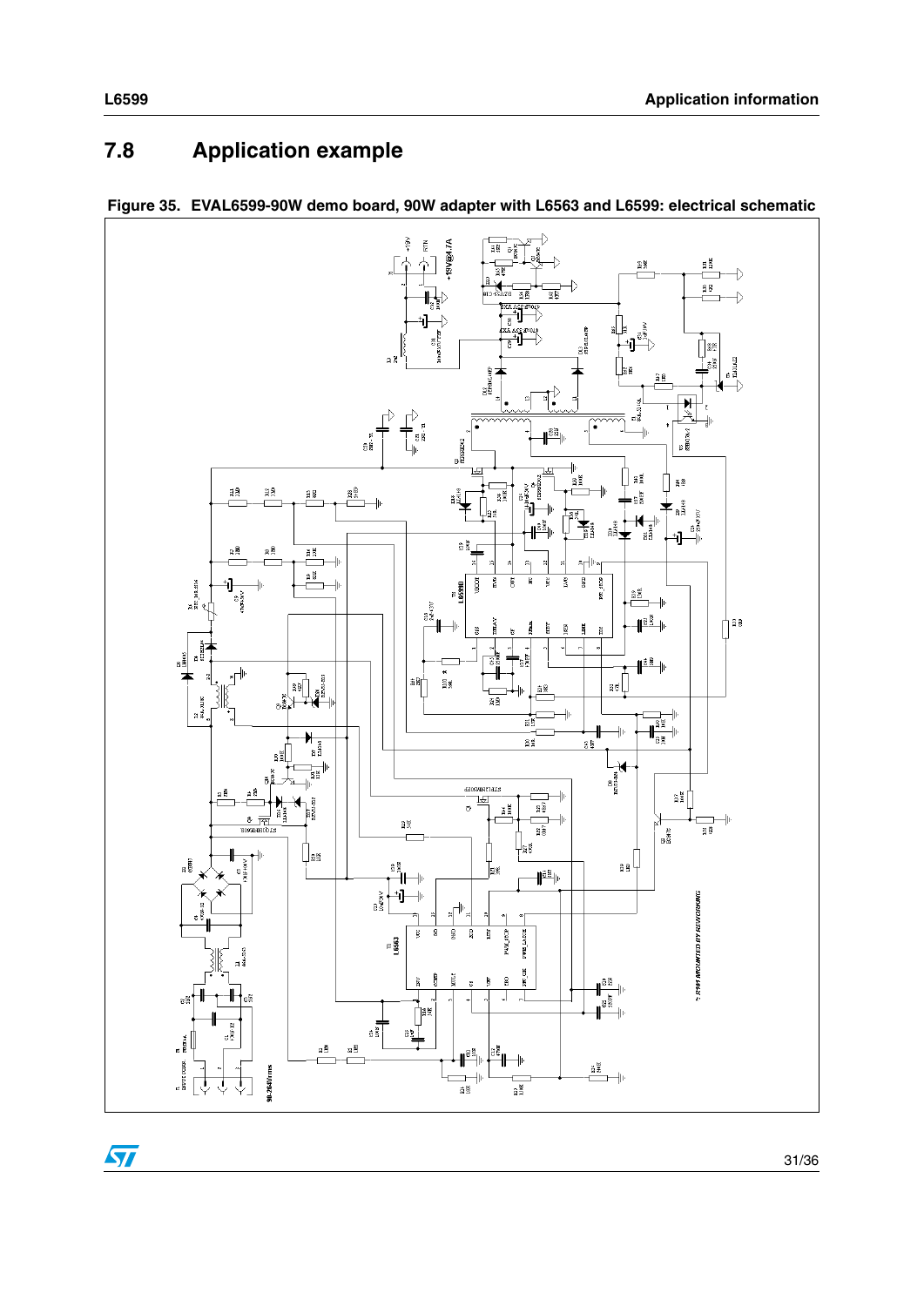# <span id="page-30-0"></span>**7.8 Application example**





 $\sqrt{2}$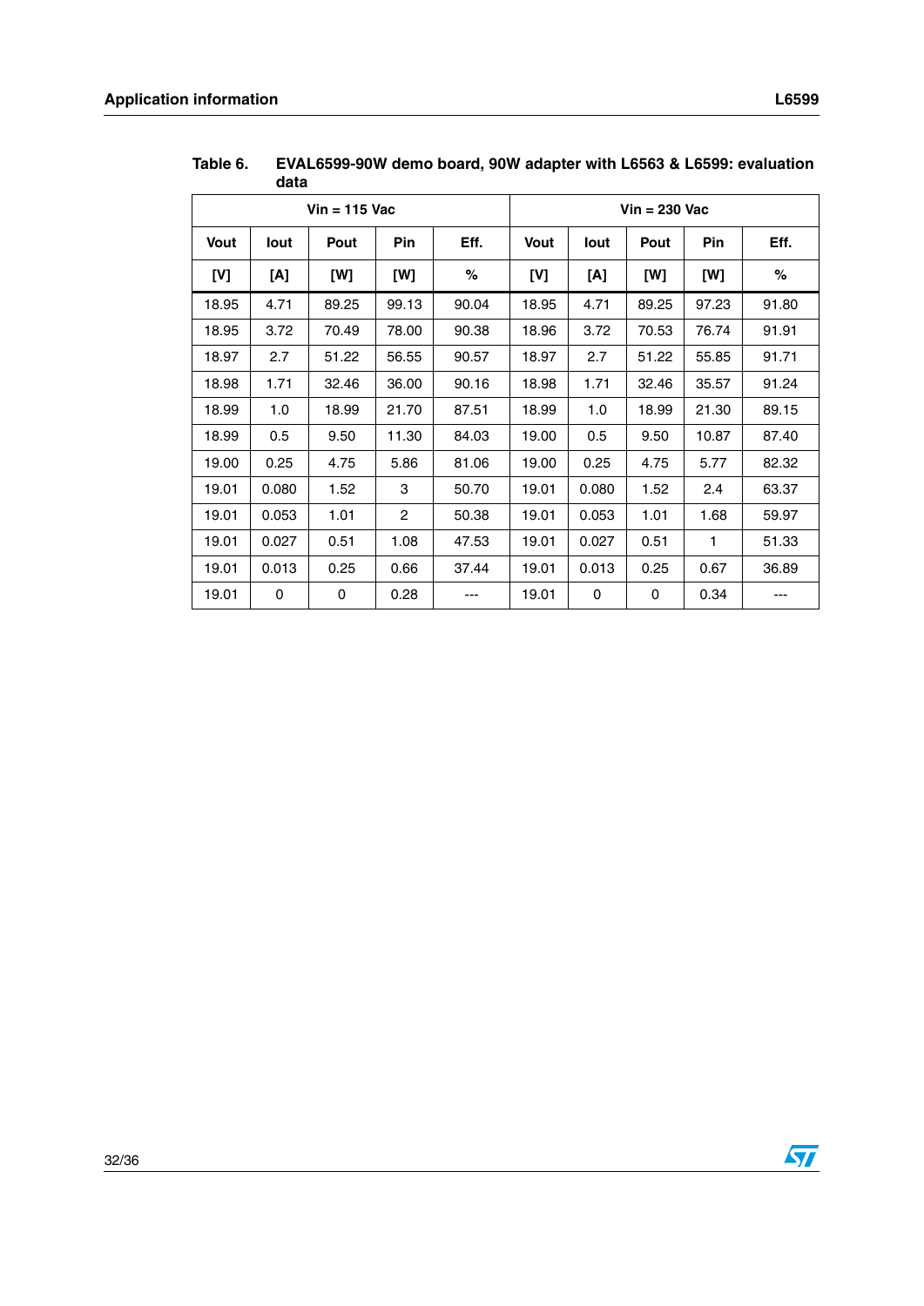| $Vin = 115$ Vac |       |       |                |       | $V$ in = 230 Vac |       |       |       |       |
|-----------------|-------|-------|----------------|-------|------------------|-------|-------|-------|-------|
| Vout            | lout  | Pout  | Pin            | Eff.  | <b>Vout</b>      | lout  | Pout  | Pin   | Eff.  |
| [V]             | [A]   | [W]   | [W]            | %     | [V]              | [A]   | [W]   | [W]   | %     |
| 18.95           | 4.71  | 89.25 | 99.13          | 90.04 | 18.95            | 4.71  | 89.25 | 97.23 | 91.80 |
| 18.95           | 3.72  | 70.49 | 78.00          | 90.38 | 18.96            | 3.72  | 70.53 | 76.74 | 91.91 |
| 18.97           | 2.7   | 51.22 | 56.55          | 90.57 | 18.97            | 2.7   | 51.22 | 55.85 | 91.71 |
| 18.98           | 1.71  | 32.46 | 36.00          | 90.16 | 18.98            | 1.71  | 32.46 | 35.57 | 91.24 |
| 18.99           | 1.0   | 18.99 | 21.70          | 87.51 | 18.99            | 1.0   | 18.99 | 21.30 | 89.15 |
| 18.99           | 0.5   | 9.50  | 11.30          | 84.03 | 19.00            | 0.5   | 9.50  | 10.87 | 87.40 |
| 19.00           | 0.25  | 4.75  | 5.86           | 81.06 | 19.00            | 0.25  | 4.75  | 5.77  | 82.32 |
| 19.01           | 0.080 | 1.52  | 3              | 50.70 | 19.01            | 0.080 | 1.52  | 2.4   | 63.37 |
| 19.01           | 0.053 | 1.01  | $\overline{2}$ | 50.38 | 19.01            | 0.053 | 1.01  | 1.68  | 59.97 |
| 19.01           | 0.027 | 0.51  | 1.08           | 47.53 | 19.01            | 0.027 | 0.51  | 1     | 51.33 |
| 19.01           | 0.013 | 0.25  | 0.66           | 37.44 | 19.01            | 0.013 | 0.25  | 0.67  | 36.89 |
| 19.01           | 0     | 0     | 0.28           | ---   | 19.01            | 0     | 0     | 0.34  | ---   |

**Table 6. EVAL6599-90W demo board, 90W adapter with L6563 & L6599: evaluation data**

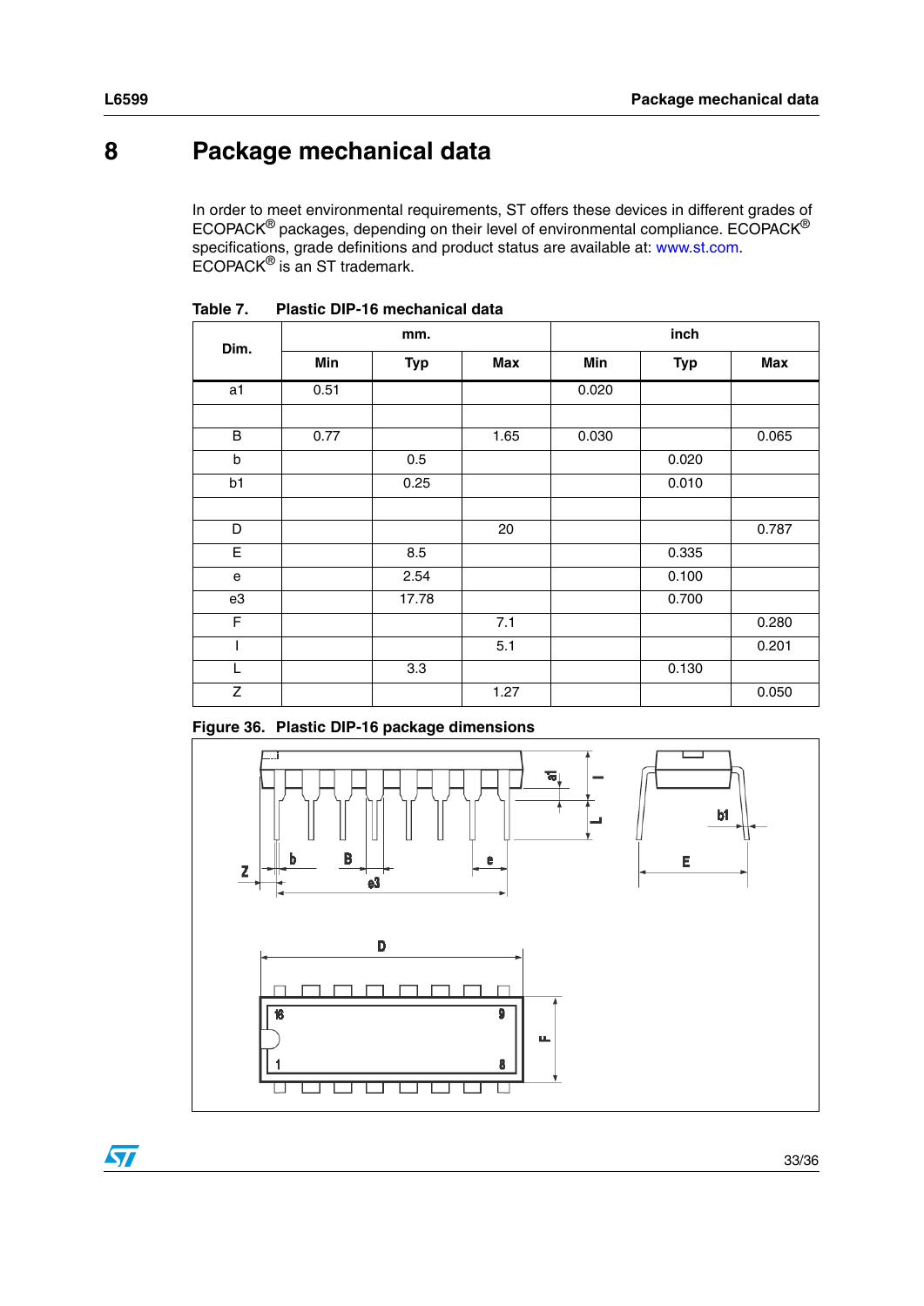# <span id="page-32-0"></span>**8 Package mechanical data**

In order to meet environmental requirements, ST offers these devices in different grades of ECOPACK $^{\circledR}$  packages, depending on their level of environmental compliance. ECOPACK $^{\circledR}$ specifications, grade definitions and product status are available at: www.st.com. ECOPACK® is an ST trademark.

| Dim.           |      | mm.        |      | inch  |            |       |  |
|----------------|------|------------|------|-------|------------|-------|--|
|                | Min  | <b>Typ</b> | Max  | Min   | <b>Typ</b> | Max   |  |
| a <sub>1</sub> | 0.51 |            |      | 0.020 |            |       |  |
|                |      |            |      |       |            |       |  |
| B              | 0.77 |            | 1.65 | 0.030 |            | 0.065 |  |
| b              |      | 0.5        |      |       | 0.020      |       |  |
| b1             |      | 0.25       |      |       | 0.010      |       |  |
|                |      |            |      |       |            |       |  |
| D              |      |            | 20   |       |            | 0.787 |  |
| E              |      | 8.5        |      |       | 0.335      |       |  |
| е              |      | 2.54       |      |       | 0.100      |       |  |
| e3             |      | 17.78      |      |       | 0.700      |       |  |
| F              |      |            | 7.1  |       |            | 0.280 |  |
| I              |      |            | 5.1  |       |            | 0.201 |  |
| L              |      | 3.3        |      |       | 0.130      |       |  |
| Z              |      |            | 1.27 |       |            | 0.050 |  |

**Table 7. Plastic DIP-16 mechanical data**

**Figure 36. Plastic DIP-16 package dimensions**



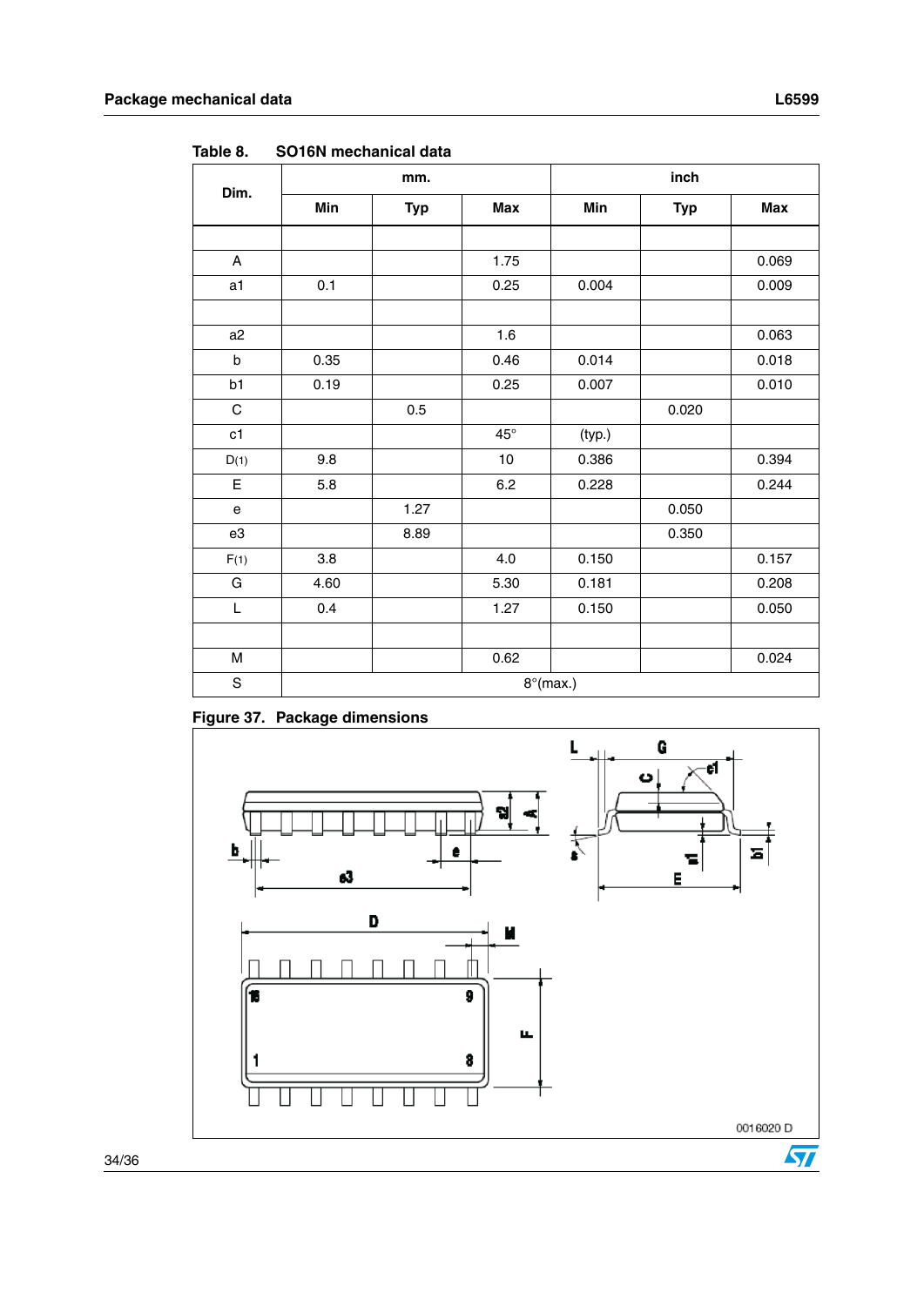|                                                                                       |                    | mm.  |              | inch              |       |       |  |
|---------------------------------------------------------------------------------------|--------------------|------|--------------|-------------------|-------|-------|--|
| Dim.                                                                                  | Min<br><b>Typ</b>  |      | <b>Max</b>   | Min<br><b>Typ</b> |       | Max   |  |
|                                                                                       |                    |      |              |                   |       |       |  |
| A                                                                                     |                    |      | 1.75         |                   |       | 0.069 |  |
| a1                                                                                    | 0.1                |      | 0.25         | 0.004             |       | 0.009 |  |
|                                                                                       |                    |      |              |                   |       |       |  |
| a <sub>2</sub>                                                                        |                    |      | 1.6          |                   |       | 0.063 |  |
| $\mathsf{b}$                                                                          | 0.35               |      | 0.46         | 0.014             |       | 0.018 |  |
| b1                                                                                    | 0.19               |      | 0.25         | 0.007             |       | 0.010 |  |
| $\mathbf C$                                                                           |                    | 0.5  |              |                   | 0.020 |       |  |
| c1                                                                                    |                    |      | $45^{\circ}$ | (typ.)            |       |       |  |
| D(1)                                                                                  | 9.8                |      | $10$         | 0.386             |       | 0.394 |  |
| $\mathsf E$                                                                           | 5.8                |      | 6.2          | 0.228             |       | 0.244 |  |
| $\mathsf{e}% _{0}\left( \mathsf{e}\right)$                                            |                    | 1.27 |              |                   | 0.050 |       |  |
| e3                                                                                    |                    | 8.89 |              |                   | 0.350 |       |  |
| F(1)                                                                                  | 3.8                |      | 4.0          | 0.150             |       | 0.157 |  |
| G                                                                                     | 4.60               |      | 5.30         | 0.181             |       | 0.208 |  |
| L                                                                                     | 0.4                |      | 1.27         | 0.150             |       | 0.050 |  |
|                                                                                       |                    |      |              |                   |       |       |  |
| $\mathsf{M}% _{T}=\mathsf{M}_{T}\!\left( a,b\right) ,\ \mathsf{M}_{T}=\mathsf{M}_{T}$ |                    |      | 0.62         |                   |       | 0.024 |  |
| $\mathbf S$                                                                           | $8^{\circ}$ (max.) |      |              |                   |       |       |  |

Table 8. **SO16N mechanical data** 

**Figure 37. Package dimensions** 

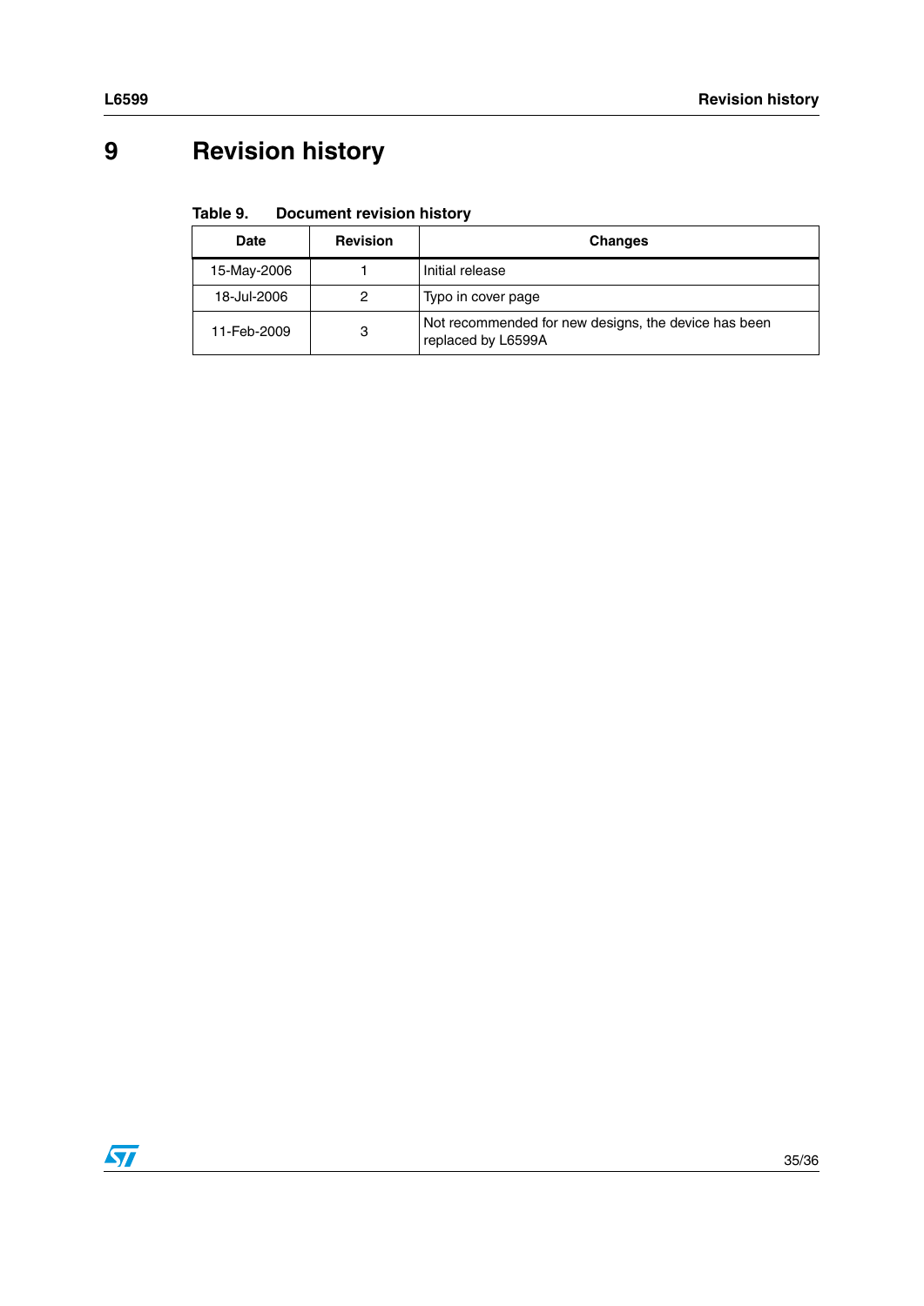# <span id="page-34-0"></span>**9 Revision history**

#### Table 9. **Document revision history**

| <b>Date</b>      | <b>Revision</b> | <b>Changes</b>                                                             |  |  |  |  |
|------------------|-----------------|----------------------------------------------------------------------------|--|--|--|--|
| 15-May-2006      |                 | Initial release                                                            |  |  |  |  |
| 18-Jul-2006      | 2               | Typo in cover page                                                         |  |  |  |  |
| 3<br>11-Feb-2009 |                 | Not recommended for new designs, the device has been<br>replaced by L6599A |  |  |  |  |